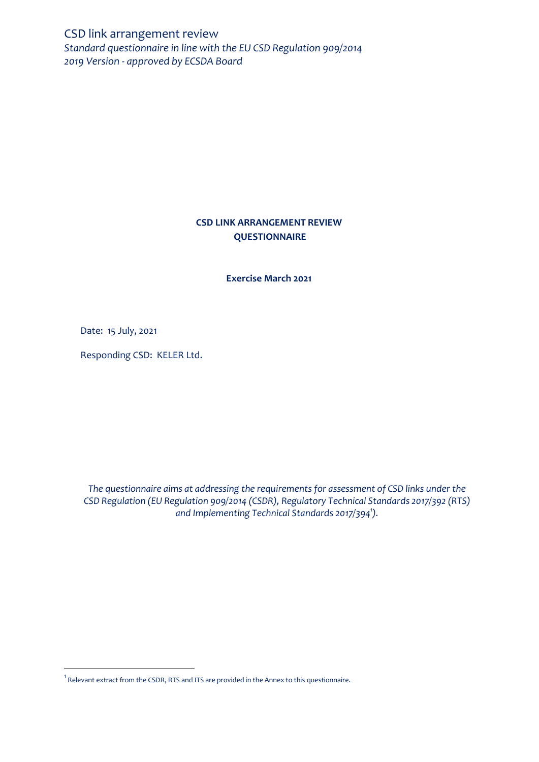CSD link arrangement review *Standard questionnaire in line with the EU CSD Regulation 909/2014 2019 Version - approved by ECSDA Board* 

# **CSD LINK ARRANGEMENT REVIEW QUESTIONNAIRE**

**Exercise March 2021**

Date: 15 July, 2021

 $\overline{\phantom{a}}$ 

Responding CSD: KELER Ltd.

*The questionnaire aims at addressing the requirements for assessment of CSD links under the CSD Regulation (EU Regulation 909/2014 (CSDR), Regulatory Technical Standards 2017/392 (RTS) and Implementing Technical Standards 2017/394<sup>1</sup> ).*

 $^{\rm 1}$  Relevant extract from the CSDR, RTS and ITS are provided in the Annex to this questionnaire.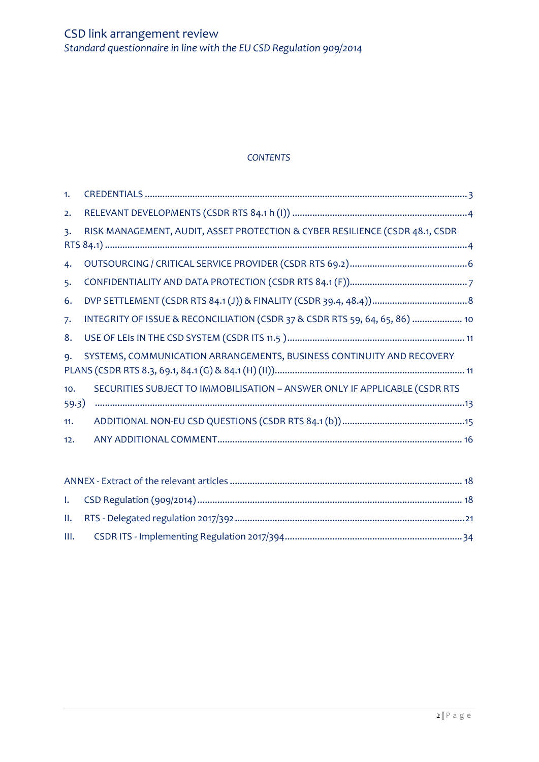# *CONTENTS*

| 1.             |                                                                              |  |  |  |
|----------------|------------------------------------------------------------------------------|--|--|--|
| 2.             |                                                                              |  |  |  |
| $\mathsf{B}$ . | RISK MANAGEMENT, AUDIT, ASSET PROTECTION & CYBER RESILIENCE (CSDR 48.1, CSDR |  |  |  |
|                |                                                                              |  |  |  |
| 4.             |                                                                              |  |  |  |
| 5.             |                                                                              |  |  |  |
| 6.             |                                                                              |  |  |  |
| 7.             | INTEGRITY OF ISSUE & RECONCILIATION (CSDR 37 & CSDR RTS 59, 64, 65, 86)  10  |  |  |  |
| 8.             |                                                                              |  |  |  |
| $Q_{\bullet}$  | SYSTEMS, COMMUNICATION ARRANGEMENTS, BUSINESS CONTINUITY AND RECOVERY        |  |  |  |
|                |                                                                              |  |  |  |
| 10.            | SECURITIES SUBJECT TO IMMOBILISATION - ANSWER ONLY IF APPLICABLE (CSDR RTS   |  |  |  |
| 59.3)          |                                                                              |  |  |  |
| 11.            |                                                                              |  |  |  |
| 12.            |                                                                              |  |  |  |
|                |                                                                              |  |  |  |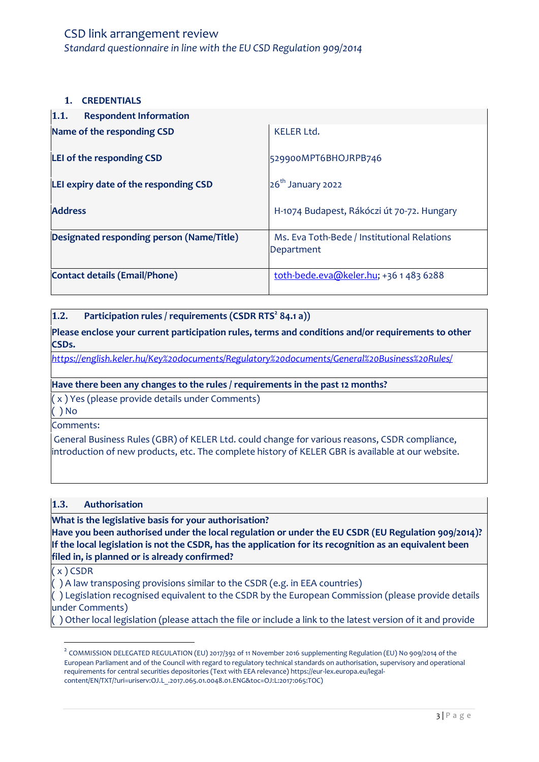### <span id="page-2-0"></span>**1. CREDENTIALS**

| 1.1.<br><b>Respondent Information</b>     |                                                           |
|-------------------------------------------|-----------------------------------------------------------|
| Name of the responding CSD                | <b>KELER Ltd.</b>                                         |
| LEI of the responding CSD                 | 529900MPT6BHOJRPB746                                      |
| LEI expiry date of the responding CSD     | $26th$ January 2022                                       |
| <b>Address</b>                            | H-1074 Budapest, Rákóczi út 70-72. Hungary                |
| Designated responding person (Name/Title) | Ms. Eva Toth-Bede / Institutional Relations<br>Department |
| <b>Contact details (Email/Phone)</b>      | toth-bede.eva@keler.hu; +36 1 483 6288                    |

#### **1.2. Participation rules / requirements (CSDR RTS<sup>2</sup> 84.1 a))**

**Please enclose your current participation rules, terms and conditions and/or requirements to other CSDs.** 

*<https://english.keler.hu/Key%20documents/Regulatory%20documents/General%20Business%20Rules/>*

#### **Have there been any changes to the rules / requirements in the past 12 months?**

( x ) Yes (please provide details under Comments)

( ) No

Comments:

General Business Rules (GBR) of KELER Ltd. could change for various reasons, CSDR compliance, introduction of new products, etc. The complete history of KELER GBR is available at our website.

#### **1.3. Authorisation**

**What is the legislative basis for your authorisation?** 

**Have you been authorised under the local regulation or under the EU CSDR (EU Regulation 909/2014)? If the local legislation is not the CSDR, has the application for its recognition as an equivalent been filed in, is planned or is already confirmed?**

( x ) CSDR

 $\overline{\phantom{a}}$ 

( ) A law transposing provisions similar to the CSDR (e.g. in EEA countries)

( ) Legislation recognised equivalent to the CSDR by the European Commission (please provide details under Comments)

( ) Other local legislation (please attach the file or include a link to the latest version of it and provide

 $^2$  COMMISSION DELEGATED REGULATION (EU) 2017/392 of 11 November 2016 supplementing Regulation (EU) No 909/2014 of the European Parliament and of the Council with regard to regulatory technical standards on authorisation, supervisory and operational requirements for central securities depositories (Text with EEA relevance) https://eur-lex.europa.eu/legalcontent/EN/TXT/?uri=uriserv:OJ.L\_.2017.065.01.0048.01.ENG&toc=OJ:L:2017:065:TOC)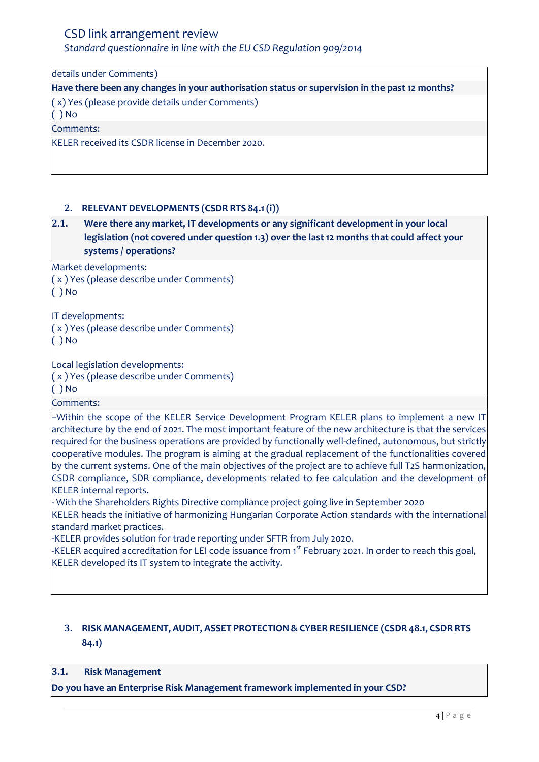*Standard questionnaire in line with the EU CSD Regulation 909/2014*

details under Comments)

**Have there been any changes in your authorisation status or supervision in the past 12 months?** ( x) Yes (please provide details under Comments) ( ) No

Comments:

KELER received its CSDR license in December 2020.

#### <span id="page-3-0"></span>**2. RELEVANT DEVELOPMENTS (CSDR RTS 84.1(i))**

**2.1. Were there any market, IT developments or any significant development in your local legislation (not covered under question 1.3) over the last 12 months that could affect your systems / operations?**

Market developments:

( x ) Yes (please describe under Comments)

( ) No

IT developments:

( x ) Yes (please describe under Comments)

( ) No

Local legislation developments:

( x ) Yes (please describe under Comments)

( ) No

Comments:

–Within the scope of the KELER Service Development Program KELER plans to implement a new IT architecture by the end of 2021. The most important feature of the new architecture is that the services required for the business operations are provided by functionally well-defined, autonomous, but strictly cooperative modules. The program is aiming at the gradual replacement of the functionalities covered by the current systems. One of the main objectives of the project are to achieve full T2S harmonization, CSDR compliance, SDR compliance, developments related to fee calculation and the development of KELER internal reports.

- With the Shareholders Rights Directive compliance project going live in September 2020

KELER heads the initiative of harmonizing Hungarian Corporate Action standards with the international standard market practices.

-KELER provides solution for trade reporting under SFTR from July 2020.

-KELER acquired accreditation for LEI code issuance from 1<sup>st</sup> February 2021. In order to reach this goal, KELER developed its IT system to integrate the activity.

# <span id="page-3-1"></span>**3. RISK MANAGEMENT, AUDIT, ASSET PROTECTION& CYBER RESILIENCE (CSDR 48.1, CSDR RTS 84.1)**

#### **3.1. Risk Management**

**Do you have an Enterprise Risk Management framework implemented in your CSD?**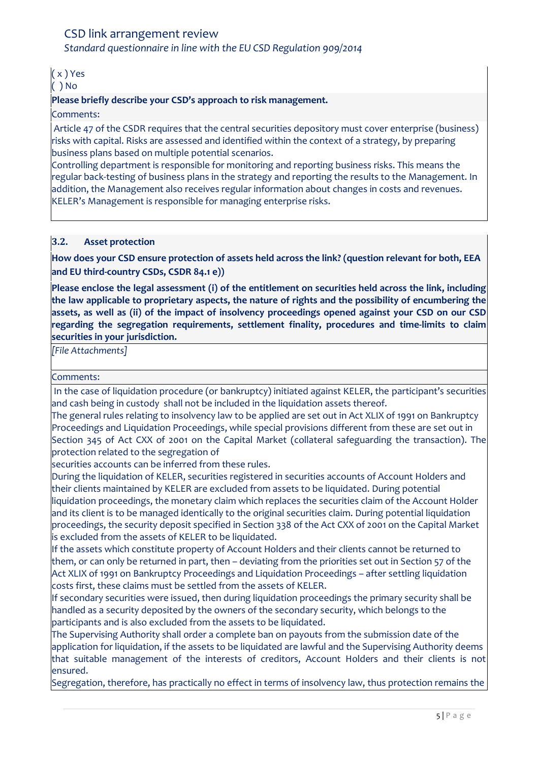*Standard questionnaire in line with the EU CSD Regulation 909/2014*

# ( x ) Yes

#### ( ) No

### **Please briefly describe your CSD's approach to risk management.**

#### Comments:

Article 47 of the CSDR requires that the central securities depository must cover enterprise (business) risks with capital. Risks are assessed and identified within the context of a strategy, by preparing business plans based on multiple potential scenarios.

Controlling department is responsible for monitoring and reporting business risks. This means the regular back-testing of business plans in the strategy and reporting the results to the Management. In addition, the Management also receives regular information about changes in costs and revenues. KELER's Management is responsible for managing enterprise risks.

#### **3.2. Asset protection**

**How does your CSD ensure protection of assets held across the link? (question relevant for both, EEA and EU third-country CSDs, CSDR 84.1 e))**

**Please enclose the legal assessment (i) of the entitlement on securities held across the link, including the law applicable to proprietary aspects, the nature of rights and the possibility of encumbering the assets, as well as (ii) of the impact of insolvency proceedings opened against your CSD on our CSD regarding the segregation requirements, settlement finality, procedures and time-limits to claim securities in your jurisdiction.**

*[File Attachments]*

#### Comments:

In the case of liquidation procedure (or bankruptcy) initiated against KELER, the participant's securities and cash being in custody shall not be included in the liquidation assets thereof.

The general rules relating to insolvency law to be applied are set out in Act XLIX of 1991 on Bankruptcy Proceedings and Liquidation Proceedings, while special provisions different from these are set out in Section 345 of Act CXX of 2001 on the Capital Market (collateral safeguarding the transaction). The protection related to the segregation of

securities accounts can be inferred from these rules.

During the liquidation of KELER, securities registered in securities accounts of Account Holders and their clients maintained by KELER are excluded from assets to be liquidated. During potential liquidation proceedings, the monetary claim which replaces the securities claim of the Account Holder and its client is to be managed identically to the original securities claim. During potential liquidation proceedings, the security deposit specified in Section 338 of the Act CXX of 2001 on the Capital Market is excluded from the assets of KELER to be liquidated.

If the assets which constitute property of Account Holders and their clients cannot be returned to them, or can only be returned in part, then – deviating from the priorities set out in Section 57 of the Act XLIX of 1991 on Bankruptcy Proceedings and Liquidation Proceedings – after settling liquidation costs first, these claims must be settled from the assets of KELER.

If secondary securities were issued, then during liquidation proceedings the primary security shall be handled as a security deposited by the owners of the secondary security, which belongs to the participants and is also excluded from the assets to be liquidated.

The Supervising Authority shall order a complete ban on payouts from the submission date of the application for liquidation, if the assets to be liquidated are lawful and the Supervising Authority deems that suitable management of the interests of creditors, Account Holders and their clients is not ensured.

Segregation, therefore, has practically no effect in terms of insolvency law, thus protection remains the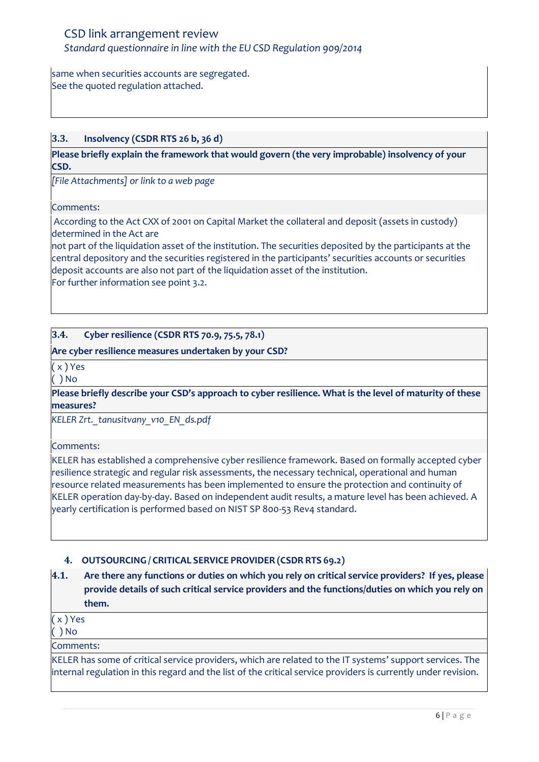same when securities accounts are segregated. See the quoted regulation attached.

# **3.3. Insolvency (CSDR RTS 26 b, 36 d)**

**Please briefly explain the framework that would govern (the very improbable) insolvency of your CSD.**

*[File Attachments] or link to a web page*

Comments:

According to the Act CXX of 2001 on Capital Market the collateral and deposit (assets in custody) determined in the Act are

not part of the liquidation asset of the institution. The securities deposited by the participants at the central depository and the securities registered in the participants' securities accounts or securities deposit accounts are also not part of the liquidation asset of the institution. For further information see point 3.2.

### **3.4. Cyber resilience (CSDR RTS 70.9, 75.5, 78.1)**

#### **Are cyber resilience measures undertaken by your CSD?**

( x ) Yes

( ) No

**Please briefly describe your CSD's approach to cyber resilience. What is the level of maturity of these measures?**

*KELER Zrt.\_tanusitvany\_v10\_EN\_ds.pdf*

Comments:

KELER has established a comprehensive cyber resilience framework. Based on formally accepted cyber resilience strategic and regular risk assessments, the necessary technical, operational and human resource related measurements has been implemented to ensure the protection and continuity of KELER operation day-by-day. Based on independent audit results, a mature level has been achieved. A yearly certification is performed based on NIST SP 800-53 Rev4 standard.

# <span id="page-5-0"></span>**4. OUTSOURCING / CRITICAL SERVICE PROVIDER (CSDR RTS 69.2)**

**4.1. Are there any functions or duties on which you rely on critical service providers? If yes, please provide details of such critical service providers and the functions/duties on which you rely on them.** 

( x ) Yes

( ) No

Comments:

KELER has some of critical service providers, which are related to the IT systems' support services. The internal regulation in this regard and the list of the critical service providers is currently under revision.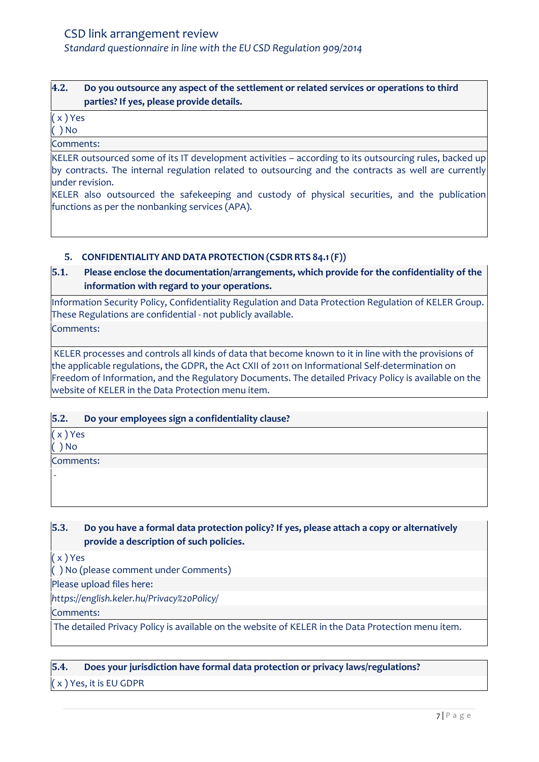# **4.2. Do you outsource any aspect of the settlement or related services or operations to third parties? If yes, please provide details.**

# ( x ) Yes

( ) No

Comments:

KELER outsourced some of its IT development activities – according to its outsourcing rules, backed up by contracts. The internal regulation related to outsourcing and the contracts as well are currently under revision.

KELER also outsourced the safekeeping and custody of physical securities, and the publication functions as per the nonbanking services (APA).

### <span id="page-6-0"></span>**5. CONFIDENTIALITY AND DATA PROTECTION (CSDR RTS 84.1(F))**

# **5.1. Please enclose the documentation/arrangements, which provide for the confidentiality of the information with regard to your operations.**

Information Security Policy, Confidentiality Regulation and Data Protection Regulation of KELER Group. These Regulations are confidential - not publicly available.

Comments:

KELER processes and controls all kinds of data that become known to it in line with the provisions of the applicable regulations, the GDPR, the Act CXII of 2011 on Informational Self-determination on Freedom of Information, and the Regulatory Documents. The detailed Privacy Policy is available on the website of KELER in the Data Protection menu item.

#### **5.2. Do your employees sign a confidentiality clause?**

( x ) Yes

( ) No

-

Comments:

### **5.3. Do you have a formal data protection policy? If yes, please attach a copy or alternatively provide a description of such policies.**

( x ) Yes

( ) No (please comment under Comments)

Please upload files here:

*https://english.keler.hu/Privacy%20Policy/*

Comments:

The detailed Privacy Policy is available on the website of KELER in the Data Protection menu item.

**5.4. Does your jurisdiction have formal data protection or privacy laws/regulations?**

( x ) Yes, it is EU GDPR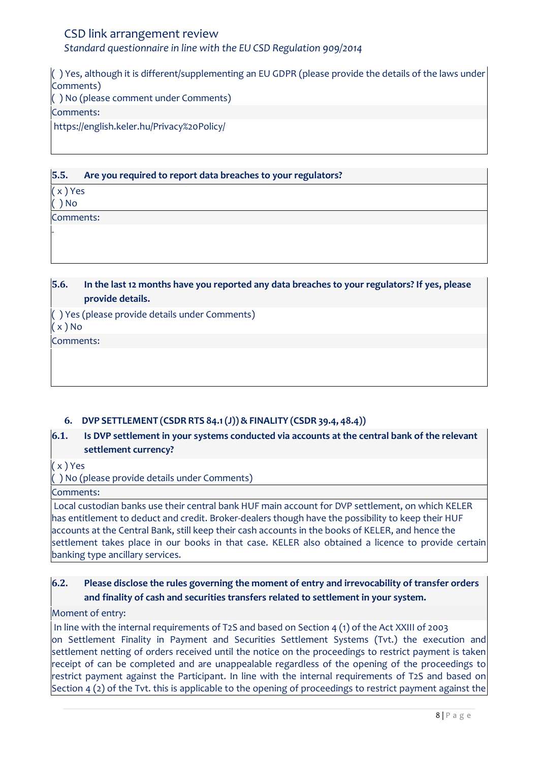( ) Yes, although it is different/supplementing an EU GDPR (please provide the details of the laws under Comments) ( ) No (please comment under Comments) Comments:

https://english.keler.hu/Privacy%20Policy/

**5.5. Are you required to report data breaches to your regulators?** ( x ) Yes ( ) No

Comments:

-

**5.6. In the last 12 months have you reported any data breaches to your regulators? If yes, please provide details.**

( ) Yes (please provide details under Comments)

( x ) No

Comments:

# <span id="page-7-0"></span>**6. DVP SETTLEMENT (CSDR RTS 84.1(J))& FINALITY (CSDR 39.4, 48.4))**

# **6.1. Is DVP settlement in your systems conducted via accounts at the central bank of the relevant settlement currency?**

( x ) Yes

( ) No (please provide details under Comments)

Comments:

Local custodian banks use their central bank HUF main account for DVP settlement, on which KELER has entitlement to deduct and credit. Broker-dealers though have the possibility to keep their HUF accounts at the Central Bank, still keep their cash accounts in the books of KELER, and hence the settlement takes place in our books in that case. KELER also obtained a licence to provide certain banking type ancillary services.

# **6.2. Please disclose the rules governing the moment of entry and irrevocability of transfer orders and finality of cash and securities transfers related to settlement in your system.**

# Moment of entry:

In line with the internal requirements of T2S and based on Section 4 (1) of the Act XXIII of 2003 on Settlement Finality in Payment and Securities Settlement Systems (Tvt.) the execution and settlement netting of orders received until the notice on the proceedings to restrict payment is taken receipt of can be completed and are unappealable regardless of the opening of the proceedings to restrict payment against the Participant. In line with the internal requirements of T2S and based on Section 4 (2) of the Tvt. this is applicable to the opening of proceedings to restrict payment against the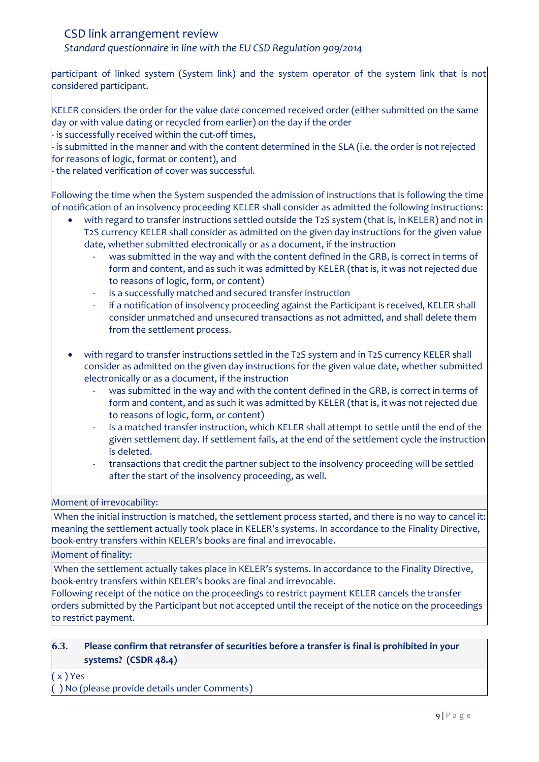*Standard questionnaire in line with the EU CSD Regulation 909/2014*

participant of linked system (System link) and the system operator of the system link that is not considered participant.

KELER considers the order for the value date concerned received order (either submitted on the same day or with value dating or recycled from earlier) on the day if the order

- is successfully received within the cut-off times,

- is submitted in the manner and with the content determined in the SLA (i.e. the order is not rejected for reasons of logic, format or content), and

- the related verification of cover was successful.

Following the time when the System suspended the admission of instructions that is following the time of notification of an insolvency proceeding KELER shall consider as admitted the following instructions:

- with regard to transfer instructions settled outside the T2S system (that is, in KELER) and not in T2S currency KELER shall consider as admitted on the given day instructions for the given value date, whether submitted electronically or as a document, if the instruction
	- was submitted in the way and with the content defined in the GRB, is correct in terms of form and content, and as such it was admitted by KELER (that is, it was not rejected due to reasons of logic, form, or content)
	- is a successfully matched and secured transfer instruction
	- if a notification of insolvency proceeding against the Participant is received, KELER shall consider unmatched and unsecured transactions as not admitted, and shall delete them from the settlement process.
- with regard to transfer instructions settled in the T2S system and in T2S currency KELER shall consider as admitted on the given day instructions for the given value date, whether submitted electronically or as a document, if the instruction
	- was submitted in the way and with the content defined in the GRB, is correct in terms of form and content, and as such it was admitted by KELER (that is, it was not rejected due to reasons of logic, form, or content)
	- is a matched transfer instruction, which KELER shall attempt to settle until the end of the given settlement day. If settlement fails, at the end of the settlement cycle the instruction is deleted.
	- transactions that credit the partner subject to the insolvency proceeding will be settled after the start of the insolvency proceeding, as well.

#### Moment of irrevocability:

When the initial instruction is matched, the settlement process started, and there is no way to cancel it: meaning the settlement actually took place in KELER's systems. In accordance to the Finality Directive, book-entry transfers within KELER's books are final and irrevocable.

Moment of finality:

When the settlement actually takes place in KELER's systems. In accordance to the Finality Directive, book-entry transfers within KELER's books are final and irrevocable.

Following receipt of the notice on the proceedings to restrict payment KELER cancels the transfer orders submitted by the Participant but not accepted until the receipt of the notice on the proceedings to restrict payment.

# **6.3. Please confirm that retransfer of securities before a transfer is final is prohibited in your systems? (CSDR 48.4)**

( x ) Yes

( ) No (please provide details under Comments)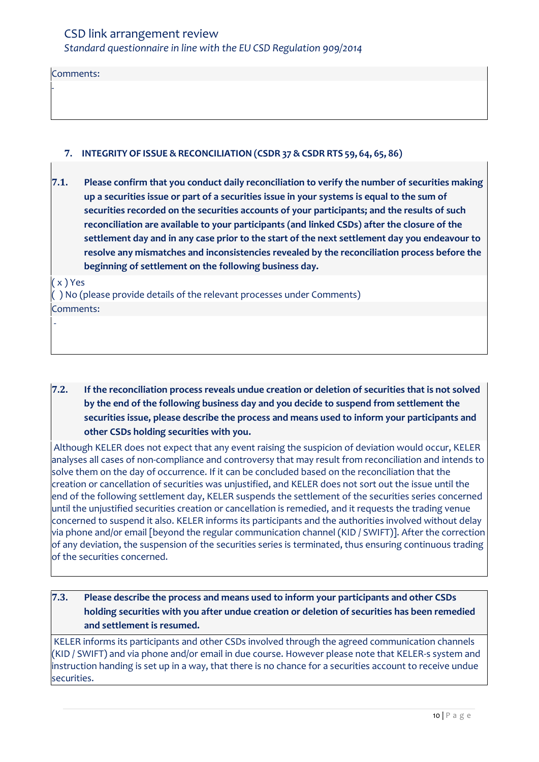Comments:

-

### <span id="page-9-0"></span>**7. INTEGRITY OF ISSUE & RECONCILIATION (CSDR 37 &CSDR RTS 59, 64, 65, 86)**

**7.1. Please confirm that you conduct daily reconciliation to verify the number of securities making up a securities issue or part of a securities issue in your systems is equal to the sum of securities recorded on the securities accounts of your participants; and the results of such reconciliation are available to your participants (and linked CSDs) after the closure of the settlement day and in any case prior to the start of the next settlement day you endeavour to resolve any mismatches and inconsistencies revealed by the reconciliation process before the beginning of settlement on the following business day.**

( x ) Yes

-

( ) No (please provide details of the relevant processes under Comments)

Comments:

# **7.2. If the reconciliation process reveals undue creation or deletion of securities that is not solved by the end of the following business day and you decide to suspend from settlement the securities issue, please describe the process and means used to inform your participants and other CSDs holding securities with you.**

Although KELER does not expect that any event raising the suspicion of deviation would occur, KELER analyses all cases of non-compliance and controversy that may result from reconciliation and intends to solve them on the day of occurrence. If it can be concluded based on the reconciliation that the creation or cancellation of securities was unjustified, and KELER does not sort out the issue until the end of the following settlement day, KELER suspends the settlement of the securities series concerned until the unjustified securities creation or cancellation is remedied, and it requests the trading venue concerned to suspend it also. KELER informs its participants and the authorities involved without delay via phone and/or email [beyond the regular communication channel (KID / SWIFT)]. After the correction of any deviation, the suspension of the securities series is terminated, thus ensuring continuous trading of the securities concerned.

# **7.3. Please describe the process and means used to inform your participants and other CSDs holding securities with you after undue creation or deletion of securities has been remedied and settlement is resumed.**

KELER informs its participants and other CSDs involved through the agreed communication channels (KID / SWIFT) and via phone and/or email in due course. However please note that KELER-s system and instruction handing is set up in a way, that there is no chance for a securities account to receive undue securities.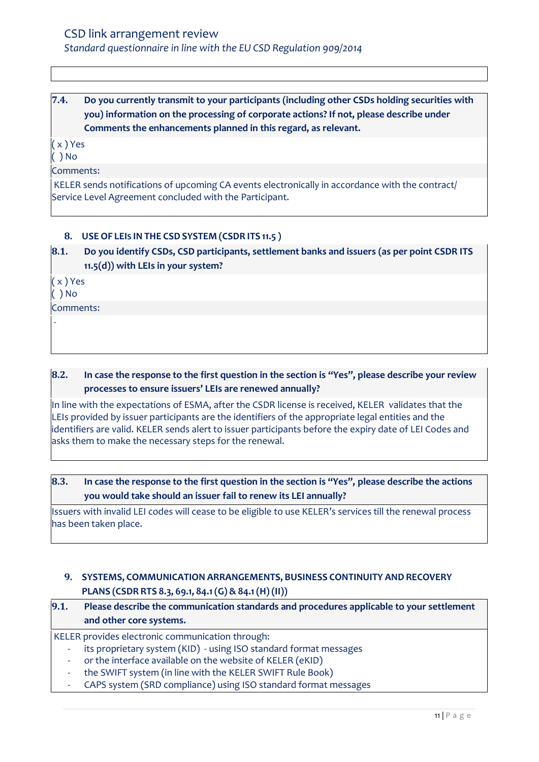# **7.4. Do you currently transmit to your participants (including other CSDs holding securities with you) information on the processing of corporate actions? If not, please describe under Comments the enhancements planned in this regard, as relevant.**

( x ) Yes

 $( )$  No

Comments:

KELER sends notifications of upcoming CA events electronically in accordance with the contract/ Service Level Agreement concluded with the Participant.

# <span id="page-10-0"></span>**8. USE OF LEIS IN THE CSD SYSTEM (CSDR ITS 11.5 )**

# **8.1. Do you identify CSDs, CSD participants, settlement banks and issuers (as per point CSDR ITS 11.5(d)) with LEIs in your system?**

( x ) Yes

( ) No

-

Comments:

**8.2. In case the response to the first question in the section is "Yes", please describe your review processes to ensure issuers' LEIs are renewed annually?**

In line with the expectations of ESMA, after the CSDR license is received, KELER validates that the LEIs provided by issuer participants are the identifiers of the appropriate legal entities and the identifiers are valid. KELER sends alert to issuer participants before the expiry date of LEI Codes and asks them to make the necessary steps for the renewal.

# **8.3. In case the response to the first question in the section is "Yes", please describe the actions you would take should an issuer fail to renew its LEI annually?**

Issuers with invalid LEI codes will cease to be eligible to use KELER's services till the renewal process has been taken place.

# <span id="page-10-1"></span>**9. SYSTEMS, COMMUNICATION ARRANGEMENTS, BUSINESS CONTINUITY AND RECOVERY PLANS (CSDR RTS 8.3, 69.1, 84.1(G) & 84.1(H) (II))**

# **9.1. Please describe the communication standards and procedures applicable to your settlement and other core systems.**

KELER provides electronic communication through:

- its proprietary system (KID) using ISO standard format messages
- or the interface available on the website of KELER (eKID)
- the SWIFT system (in line with the KELER SWIFT Rule Book)
- CAPS system (SRD compliance) using ISO standard format messages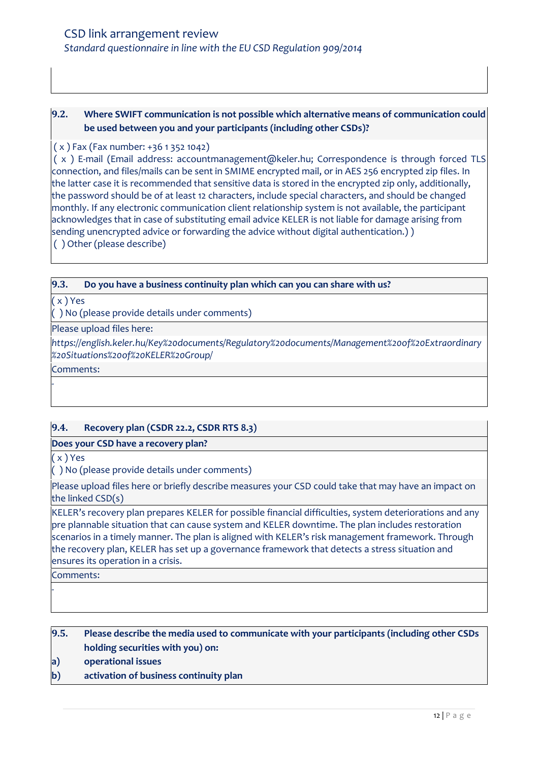# **9.2. Where SWIFT communication is not possible which alternative means of communication could be used between you and your participants (including other CSDs)?**

#### ( x ) Fax (Fax number: +36 1 352 1042)

( x ) E-mail (Email address: accountmanagement@keler.hu; Correspondence is through forced TLS connection, and files/mails can be sent in SMIME encrypted mail, or in AES 256 encrypted zip files. In the latter case it is recommended that sensitive data is stored in the encrypted zip only, additionally, the password should be of at least 12 characters, include special characters, and should be changed monthly. If any electronic communication client relationship system is not available, the participant acknowledges that in case of substituting email advice KELER is not liable for damage arising from sending unencrypted advice or forwarding the advice without digital authentication.) ) ( ) Other (please describe)

#### **9.3. Do you have a business continuity plan which can you can share with us?**

( x ) Yes

( ) No (please provide details under comments)

Please upload files here:

*https://english.keler.hu/Key%20documents/Regulatory%20documents/Management%20of%20Extraordinary %20Situations%20of%20KELER%20Group/*

Comments:

-

# **9.4. Recovery plan (CSDR 22.2, CSDR RTS 8.3)**

#### **Does your CSD have a recovery plan?**

( x ) Yes

( ) No (please provide details under comments)

Please upload files here or briefly describe measures your CSD could take that may have an impact on the linked CSD(s)

KELER's recovery plan prepares KELER for possible financial difficulties, system deteriorations and any pre plannable situation that can cause system and KELER downtime. The plan includes restoration scenarios in a timely manner. The plan is aligned with KELER's risk management framework. Through the recovery plan, KELER has set up a governance framework that detects a stress situation and ensures its operation in a crisis.

Comments:

-

**9.5. Please describe the media used to communicate with your participants (including other CSDs holding securities with you) on:**

- **a) operational issues**
- **b) activation of business continuity plan**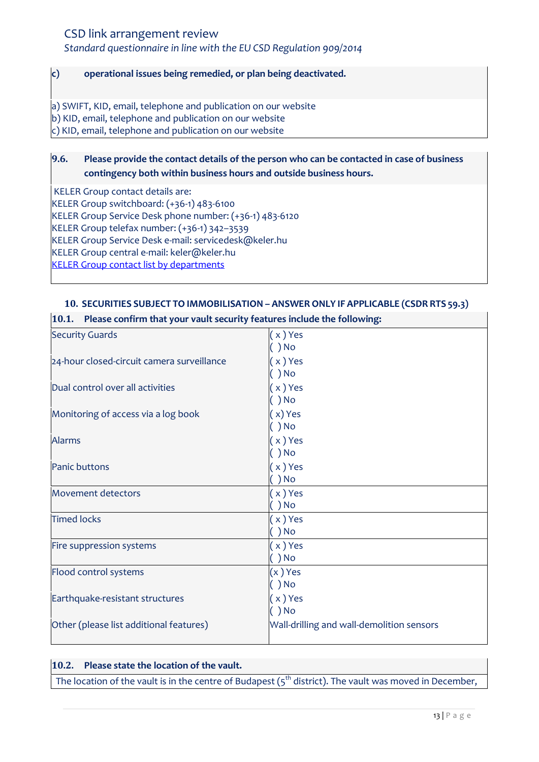*Standard questionnaire in line with the EU CSD Regulation 909/2014*

#### **c) operational issues being remedied, or plan being deactivated.**

a) SWIFT, KID, email, telephone and publication on our website b) KID, email, telephone and publication on our website c) KID, email, telephone and publication on our website

# **9.6. Please provide the contact details of the person who can be contacted in case of business contingency both within business hours and outside business hours.**

KELER Group contact details are:

KELER Group switchboard: (+36-1) 483-6100

KELER Group Service Desk phone number: (+36-1) 483-6120

KELER Group telefax number: (+36-1) 342–3539

KELER Group Service Desk e-mail: servicedesk@keler.hu

KELER Group central e-mail: keler@keler.hu

**[KELER Group contact list by departments](https://english.keler.hu/Contacts/Contact%20us/)** 

### <span id="page-12-0"></span>**10. SECURITIES SUBJECT TO IMMOBILISATION – ANSWER ONLY IF APPLICABLE (CSDR RTS 59.3)**

| 10.1. Please confirm that your vault security features include the following: |                                           |  |
|-------------------------------------------------------------------------------|-------------------------------------------|--|
| <b>Security Guards</b>                                                        | (x)Yes                                    |  |
|                                                                               | ) No                                      |  |
| 24-hour closed-circuit camera surveillance                                    | $x)$ Yes                                  |  |
|                                                                               | ) No                                      |  |
| Dual control over all activities                                              | (x)Yes                                    |  |
|                                                                               | ) No                                      |  |
| Monitoring of access via a log book                                           | (x) Yes                                   |  |
|                                                                               | $\int$ ) No                               |  |
| <b>Alarms</b>                                                                 | $(x)$ Yes                                 |  |
|                                                                               | ) No                                      |  |
| <b>Panic buttons</b>                                                          | (x)Yes                                    |  |
|                                                                               | $()$ No                                   |  |
| <b>Movement detectors</b>                                                     | (x)Yes                                    |  |
|                                                                               | $\left(\begin{array}{c}\right)$ No        |  |
| <b>Timed locks</b>                                                            | $(x)$ Yes                                 |  |
|                                                                               | $\big)$ No                                |  |
| Fire suppression systems                                                      | $(x)$ Yes                                 |  |
|                                                                               | $\big)$ No                                |  |
| Flood control systems                                                         | $(x)$ Yes                                 |  |
|                                                                               | $()$ No                                   |  |
| Earthquake-resistant structures                                               | $(x)$ Yes                                 |  |
|                                                                               | $\int$ ) No                               |  |
| Other (please list additional features)                                       | Wall-drilling and wall-demolition sensors |  |
|                                                                               |                                           |  |

#### **10.2. Please state the location of the vault.**

The location of the vault is in the centre of Budapest  $(s^{\text{th}}$  district). The vault was moved in December,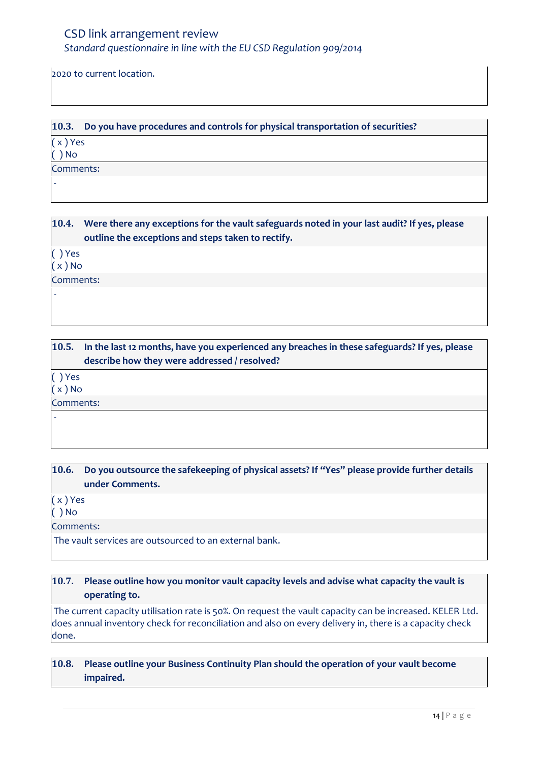2020 to current location.

**10.3. Do you have procedures and controls for physical transportation of securities?** ( x ) Yes ( ) No Comments: -

**10.4. Were there any exceptions for the vault safeguards noted in your last audit? If yes, please outline the exceptions and steps taken to rectify.**

( ) Yes

 $(x)$  No

-

Comments:

**10.5. In the last 12 months, have you experienced any breaches in these safeguards? If yes, please describe how they were addressed / resolved?**

( ) Yes

-

( x ) No

Comments:

**10.6. Do you outsource the safekeeping of physical assets? If "Yes" please provide further details under Comments.** 

( x ) Yes

( ) No

Comments:

The vault services are outsourced to an external bank.

# **10.7. Please outline how you monitor vault capacity levels and advise what capacity the vault is operating to.**

The current capacity utilisation rate is 50%. On request the vault capacity can be increased. KELER Ltd. does annual inventory check for reconciliation and also on every delivery in, there is a capacity check done.

**10.8. Please outline your Business Continuity Plan should the operation of your vault become impaired.**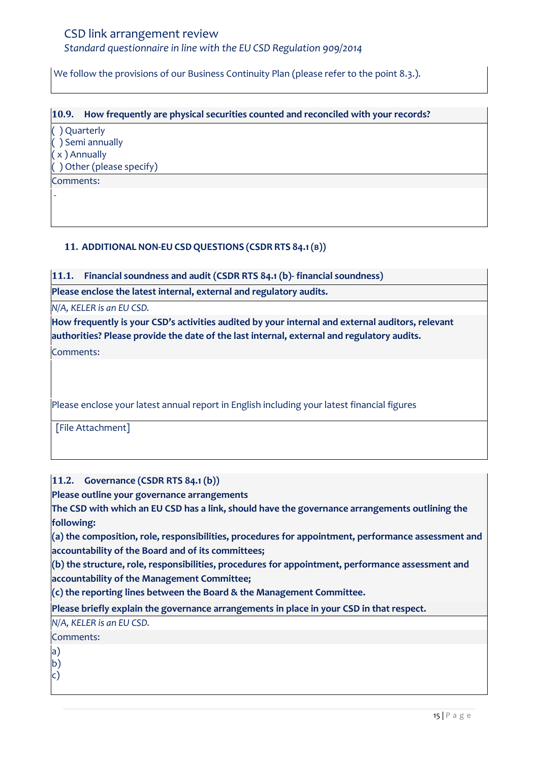*Standard questionnaire in line with the EU CSD Regulation 909/2014*

We follow the provisions of our Business Continuity Plan (please refer to the point 8.3.).

**10.9. How frequently are physical securities counted and reconciled with your records?**  ( ) Quarterly ( ) Semi annually ( x ) Annually ( ) Other (please specify) Comments: -

### <span id="page-14-0"></span>**11. ADDITIONAL NON-EU CSDQUESTIONS (CSDR RTS 84.1(B))**

**11.1. Financial soundness and audit (CSDR RTS 84.1 (b)- financial soundness)**

**Please enclose the latest internal, external and regulatory audits.**

*N/A, KELER is an EU CSD.*

**How frequently is your CSD's activities audited by your internal and external auditors, relevant authorities? Please provide the date of the last internal, external and regulatory audits.**

Comments:

Please enclose your latest annual report in English including your latest financial figures

[File Attachment]

**11.2. Governance (CSDR RTS 84.1 (b))**

**Please outline your governance arrangements** 

**The CSD with which an EU CSD has a link, should have the governance arrangements outlining the following:** 

**(a) the composition, role, responsibilities, procedures for appointment, performance assessment and accountability of the Board and of its committees;** 

**(b) the structure, role, responsibilities, procedures for appointment, performance assessment and accountability of the Management Committee;** 

**(c) the reporting lines between the Board & the Management Committee.**

**Please briefly explain the governance arrangements in place in your CSD in that respect.**

*N/A, KELER is an EU CSD.*

# Comments:

- a)
- b)
- c)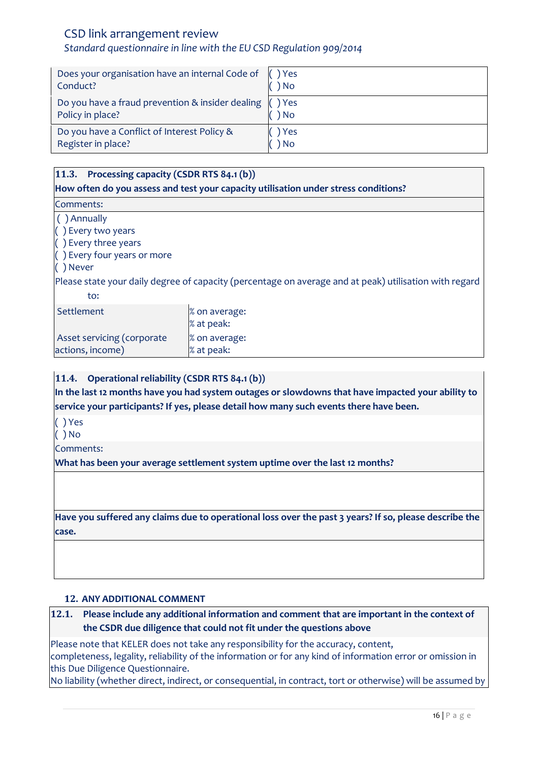# *Standard questionnaire in line with the EU CSD Regulation 909/2014*

| Does your organisation have an internal Code of (1) Yes<br>Conduct?                       | ) No          |
|-------------------------------------------------------------------------------------------|---------------|
| Do you have a fraud prevention & insider dealing $\left( \right)$ Yes<br>Policy in place? | ) No          |
| Do you have a Conflict of Interest Policy &<br>Register in place?                         | ) Yes<br>) No |

### **11.3. Processing capacity (CSDR RTS 84.1 (b))**

**How often do you assess and test your capacity utilisation under stress conditions?** 

Comments:

( ) Annually

( ) Every two years

( ) Every three years

( ) Every four years or more

#### ( ) Never

Please state your daily degree of capacity (percentage on average and at peak) utilisation with regard to:

| Settlement                 | % on average:<br>% at peak: |
|----------------------------|-----------------------------|
| Asset servicing (corporate | % on average:               |
| actions, income)           | % at peak:                  |

### **11.4. Operational reliability (CSDR RTS 84.1 (b))**

**In the last 12 months have you had system outages or slowdowns that have impacted your ability to service your participants? If yes, please detail how many such events there have been.**

( ) Yes

( ) No

Comments:

**What has been your average settlement system uptime over the last 12 months?**

**Have you suffered any claims due to operational loss over the past 3 years? If so, please describe the case.**

#### <span id="page-15-0"></span>**12. ANY ADDITIONAL COMMENT**

# **12.1. Please include any additional information and comment that are important in the context of the CSDR due diligence that could not fit under the questions above**

Please note that KELER does not take any responsibility for the accuracy, content, completeness, legality, reliability of the information or for any kind of information error or omission in this Due Diligence Questionnaire.

No liability (whether direct, indirect, or consequential, in contract, tort or otherwise) will be assumed by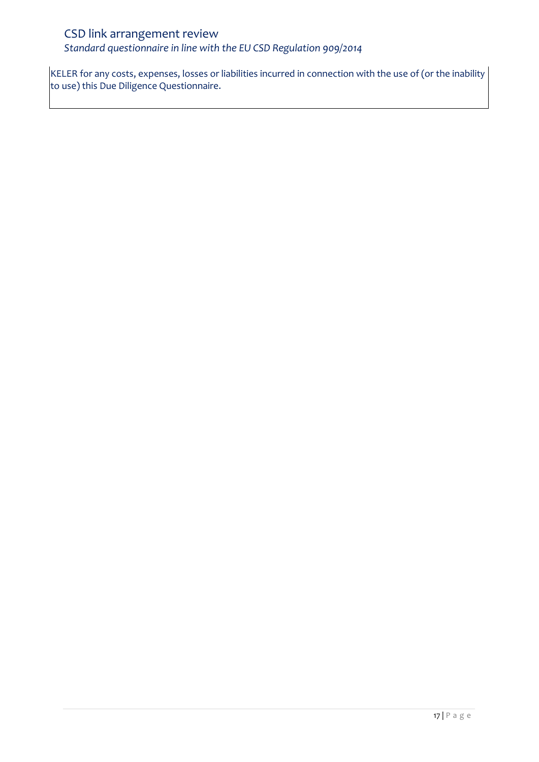*Standard questionnaire in line with the EU CSD Regulation 909/2014*

KELER for any costs, expenses, losses or liabilities incurred in connection with the use of (or the inability to use) this Due Diligence Questionnaire.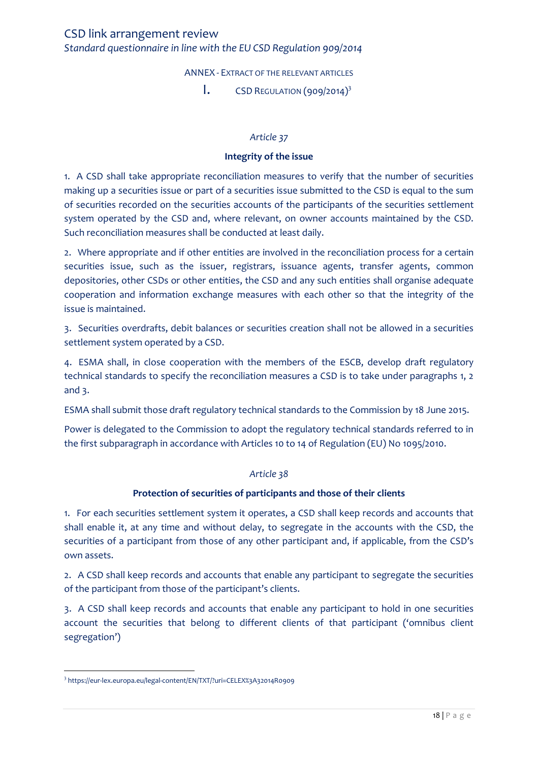ANNEX - EXTRACT OF THE RELEVANT ARTICLES

 $\mathsf{I}$ . CSD REGULATION (909/2014)<sup>3</sup>

#### *Article 37*

#### **Integrity of the issue**

<span id="page-17-1"></span><span id="page-17-0"></span>1. A CSD shall take appropriate reconciliation measures to verify that the number of securities making up a securities issue or part of a securities issue submitted to the CSD is equal to the sum of securities recorded on the securities accounts of the participants of the securities settlement system operated by the CSD and, where relevant, on owner accounts maintained by the CSD. Such reconciliation measures shall be conducted at least daily.

2. Where appropriate and if other entities are involved in the reconciliation process for a certain securities issue, such as the issuer, registrars, issuance agents, transfer agents, common depositories, other CSDs or other entities, the CSD and any such entities shall organise adequate cooperation and information exchange measures with each other so that the integrity of the issue is maintained.

3. Securities overdrafts, debit balances or securities creation shall not be allowed in a securities settlement system operated by a CSD.

4. ESMA shall, in close cooperation with the members of the ESCB, develop draft regulatory technical standards to specify the reconciliation measures a CSD is to take under paragraphs 1, 2 and 3.

ESMA shall submit those draft regulatory technical standards to the Commission by 18 June 2015.

Power is delegated to the Commission to adopt the regulatory technical standards referred to in the first subparagraph in accordance with Articles 10 to 14 of Regulation (EU) No 1095/2010.

#### *Article 38*

#### **Protection of securities of participants and those of their clients**

1. For each securities settlement system it operates, a CSD shall keep records and accounts that shall enable it, at any time and without delay, to segregate in the accounts with the CSD, the securities of a participant from those of any other participant and, if applicable, from the CSD's own assets.

2. A CSD shall keep records and accounts that enable any participant to segregate the securities of the participant from those of the participant's clients.

3. A CSD shall keep records and accounts that enable any participant to hold in one securities account the securities that belong to different clients of that participant ('omnibus client segregation')

 $\overline{\phantom{a}}$ 3 https://eur-lex.europa.eu/legal-content/EN/TXT/?uri=CELEX%3A32014R0909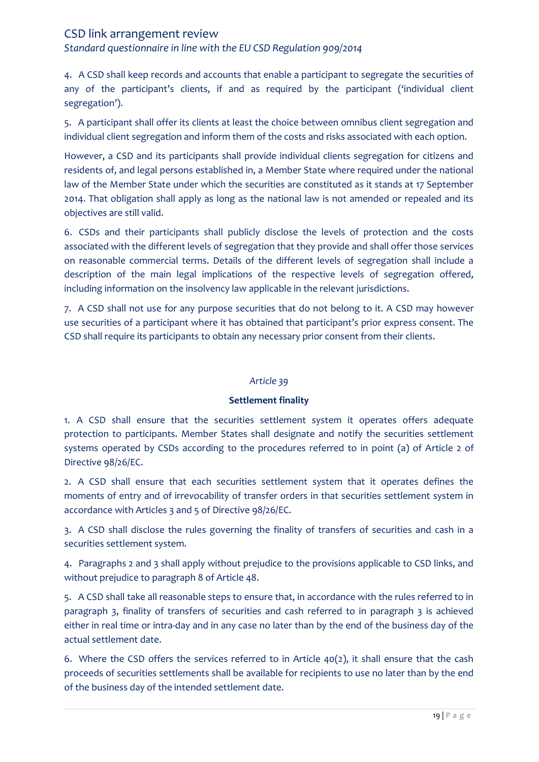*Standard questionnaire in line with the EU CSD Regulation 909/2014*

4. A CSD shall keep records and accounts that enable a participant to segregate the securities of any of the participant's clients, if and as required by the participant ('individual client segregation').

5. A participant shall offer its clients at least the choice between omnibus client segregation and individual client segregation and inform them of the costs and risks associated with each option.

However, a CSD and its participants shall provide individual clients segregation for citizens and residents of, and legal persons established in, a Member State where required under the national law of the Member State under which the securities are constituted as it stands at 17 September 2014. That obligation shall apply as long as the national law is not amended or repealed and its objectives are still valid.

6. CSDs and their participants shall publicly disclose the levels of protection and the costs associated with the different levels of segregation that they provide and shall offer those services on reasonable commercial terms. Details of the different levels of segregation shall include a description of the main legal implications of the respective levels of segregation offered, including information on the insolvency law applicable in the relevant jurisdictions.

7. A CSD shall not use for any purpose securities that do not belong to it. A CSD may however use securities of a participant where it has obtained that participant's prior express consent. The CSD shall require its participants to obtain any necessary prior consent from their clients.

#### *Article 39*

#### **Settlement finality**

1. A CSD shall ensure that the securities settlement system it operates offers adequate protection to participants. Member States shall designate and notify the securities settlement systems operated by CSDs according to the procedures referred to in point (a) of Article 2 of Directive 98/26/EC.

2. A CSD shall ensure that each securities settlement system that it operates defines the moments of entry and of irrevocability of transfer orders in that securities settlement system in accordance with Articles 3 and 5 of Directive 98/26/EC.

3. A CSD shall disclose the rules governing the finality of transfers of securities and cash in a securities settlement system.

4. Paragraphs 2 and 3 shall apply without prejudice to the provisions applicable to CSD links, and without prejudice to paragraph 8 of Article 48.

5. A CSD shall take all reasonable steps to ensure that, in accordance with the rules referred to in paragraph 3, finality of transfers of securities and cash referred to in paragraph 3 is achieved either in real time or intra-day and in any case no later than by the end of the business day of the actual settlement date.

6. Where the CSD offers the services referred to in Article 40(2), it shall ensure that the cash proceeds of securities settlements shall be available for recipients to use no later than by the end of the business day of the intended settlement date.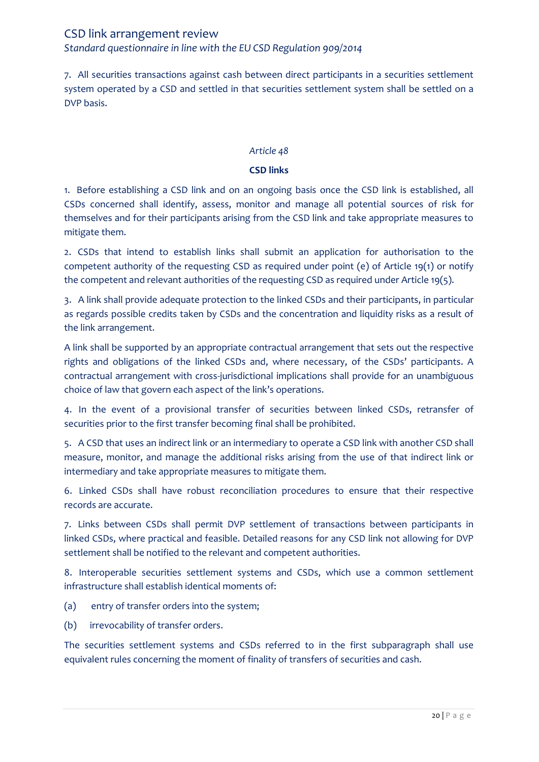7. All securities transactions against cash between direct participants in a securities settlement system operated by a CSD and settled in that securities settlement system shall be settled on a DVP basis.

### *Article 48*

### **CSD links**

1. Before establishing a CSD link and on an ongoing basis once the CSD link is established, all CSDs concerned shall identify, assess, monitor and manage all potential sources of risk for themselves and for their participants arising from the CSD link and take appropriate measures to mitigate them.

2. CSDs that intend to establish links shall submit an application for authorisation to the competent authority of the requesting CSD as required under point (e) of Article 19(1) or notify the competent and relevant authorities of the requesting CSD as required under Article 19(5).

3. A link shall provide adequate protection to the linked CSDs and their participants, in particular as regards possible credits taken by CSDs and the concentration and liquidity risks as a result of the link arrangement.

A link shall be supported by an appropriate contractual arrangement that sets out the respective rights and obligations of the linked CSDs and, where necessary, of the CSDs' participants. A contractual arrangement with cross-jurisdictional implications shall provide for an unambiguous choice of law that govern each aspect of the link's operations.

4. In the event of a provisional transfer of securities between linked CSDs, retransfer of securities prior to the first transfer becoming final shall be prohibited.

5. A CSD that uses an indirect link or an intermediary to operate a CSD link with another CSD shall measure, monitor, and manage the additional risks arising from the use of that indirect link or intermediary and take appropriate measures to mitigate them.

6. Linked CSDs shall have robust reconciliation procedures to ensure that their respective records are accurate.

7. Links between CSDs shall permit DVP settlement of transactions between participants in linked CSDs, where practical and feasible. Detailed reasons for any CSD link not allowing for DVP settlement shall be notified to the relevant and competent authorities.

8. Interoperable securities settlement systems and CSDs, which use a common settlement infrastructure shall establish identical moments of:

- (a) entry of transfer orders into the system;
- (b) irrevocability of transfer orders.

The securities settlement systems and CSDs referred to in the first subparagraph shall use equivalent rules concerning the moment of finality of transfers of securities and cash.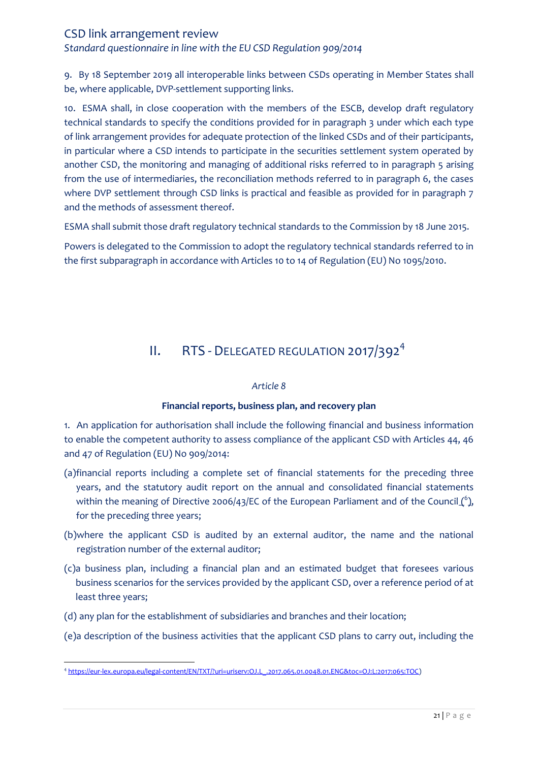*Standard questionnaire in line with the EU CSD Regulation 909/2014*

9. By 18 September 2019 all interoperable links between CSDs operating in Member States shall be, where applicable, DVP-settlement supporting links.

10. ESMA shall, in close cooperation with the members of the ESCB, develop draft regulatory technical standards to specify the conditions provided for in paragraph 3 under which each type of link arrangement provides for adequate protection of the linked CSDs and of their participants, in particular where a CSD intends to participate in the securities settlement system operated by another CSD, the monitoring and managing of additional risks referred to in paragraph 5 arising from the use of intermediaries, the reconciliation methods referred to in paragraph 6, the cases where DVP settlement through CSD links is practical and feasible as provided for in paragraph 7 and the methods of assessment thereof.

ESMA shall submit those draft regulatory technical standards to the Commission by 18 June 2015.

Powers is delegated to the Commission to adopt the regulatory technical standards referred to in the first subparagraph in accordance with Articles 10 to 14 of Regulation (EU) No 1095/2010.

# II. RTS - DELEGATED REGULATION 2017/392<sup>4</sup>

#### *Article 8*

# **Financial reports, business plan, and recovery plan**

<span id="page-20-0"></span>1. An application for authorisation shall include the following financial and business information to enable the competent authority to assess compliance of the applicant CSD with Articles 44, 46 and 47 of Regulation (EU) No 909/2014:

- (a)financial reports including a complete set of financial statements for the preceding three years, and the statutory audit report on the annual and consolidated financial statements within the meaning of Directive 2006/43/EC of the European Parliament and of the Council  $\binom{6}{2}$ , for the preceding three years;
- (b)where the applicant CSD is audited by an external auditor, the name and the national registration number of the external auditor;
- (c)a business plan, including a financial plan and an estimated budget that foresees various business scenarios for the services provided by the applicant CSD, over a reference period of at least three years;
- (d) any plan for the establishment of subsidiaries and branches and their location;
- (e)a description of the business activities that the applicant CSD plans to carry out, including the

 $\overline{a}$ 4 [https://eur-lex.europa.eu/legal-content/EN/TXT/?uri=uriserv:OJ.L\\_.2017.065.01.0048.01.ENG&toc=OJ:L:2017:065:TOC\)](https://eur-lex.europa.eu/legal-content/EN/TXT/?uri=uriserv:OJ.L_.2017.065.01.0048.01.ENG&toc=OJ:L:2017:065:TOC)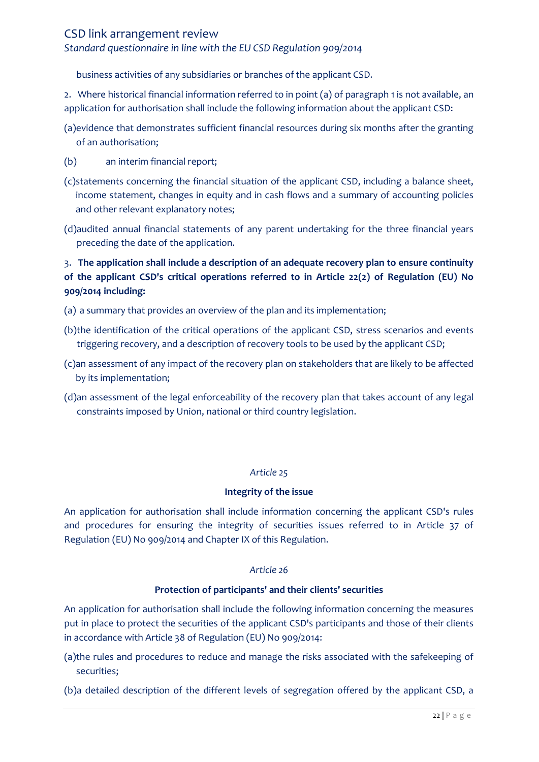## *Standard questionnaire in line with the EU CSD Regulation 909/2014*

business activities of any subsidiaries or branches of the applicant CSD.

2. Where historical financial information referred to in point (a) of paragraph 1 is not available, an application for authorisation shall include the following information about the applicant CSD:

- (a)evidence that demonstrates sufficient financial resources during six months after the granting of an authorisation;
- (b) an interim financial report;
- (c)statements concerning the financial situation of the applicant CSD, including a balance sheet, income statement, changes in equity and in cash flows and a summary of accounting policies and other relevant explanatory notes;
- (d)audited annual financial statements of any parent undertaking for the three financial years preceding the date of the application.

# 3. **The application shall include a description of an adequate recovery plan to ensure continuity of the applicant CSD's critical operations referred to in Article 22(2) of Regulation (EU) No 909/2014 including:**

- (a) a summary that provides an overview of the plan and its implementation;
- (b)the identification of the critical operations of the applicant CSD, stress scenarios and events triggering recovery, and a description of recovery tools to be used by the applicant CSD;
- (c)an assessment of any impact of the recovery plan on stakeholders that are likely to be affected by its implementation;
- (d)an assessment of the legal enforceability of the recovery plan that takes account of any legal constraints imposed by Union, national or third country legislation.

#### *Article 25*

#### **Integrity of the issue**

An application for authorisation shall include information concerning the applicant CSD's rules and procedures for ensuring the integrity of securities issues referred to in Article 37 of Regulation (EU) No 909/2014 and Chapter IX of this Regulation.

#### *Article 26*

#### **Protection of participants' and their clients' securities**

An application for authorisation shall include the following information concerning the measures put in place to protect the securities of the applicant CSD's participants and those of their clients in accordance with Article 38 of Regulation (EU) No 909/2014:

- (a)the rules and procedures to reduce and manage the risks associated with the safekeeping of securities;
- (b)a detailed description of the different levels of segregation offered by the applicant CSD, a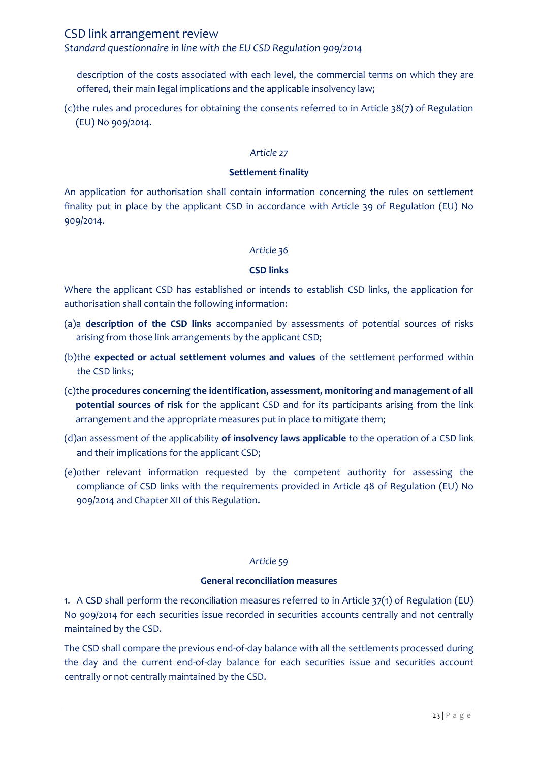### *Standard questionnaire in line with the EU CSD Regulation 909/2014*

description of the costs associated with each level, the commercial terms on which they are offered, their main legal implications and the applicable insolvency law;

(c)the rules and procedures for obtaining the consents referred to in Article 38(7) of Regulation (EU) No 909/2014.

#### *Article 27*

#### **Settlement finality**

An application for authorisation shall contain information concerning the rules on settlement finality put in place by the applicant CSD in accordance with Article 39 of Regulation (EU) No 909/2014.

#### *Article 36*

#### **CSD links**

Where the applicant CSD has established or intends to establish CSD links, the application for authorisation shall contain the following information:

- (a)a **description of the CSD links** accompanied by assessments of potential sources of risks arising from those link arrangements by the applicant CSD;
- (b)the **expected or actual settlement volumes and values** of the settlement performed within the CSD links;
- (c)the **procedures concerning the identification, assessment, monitoring and management of all potential sources of risk** for the applicant CSD and for its participants arising from the link arrangement and the appropriate measures put in place to mitigate them;
- (d)an assessment of the applicability **of insolvency laws applicable** to the operation of a CSD link and their implications for the applicant CSD;
- (e)other relevant information requested by the competent authority for assessing the compliance of CSD links with the requirements provided in Article 48 of Regulation (EU) No 909/2014 and Chapter XII of this Regulation.

#### *Article 59*

#### **General reconciliation measures**

1. A CSD shall perform the reconciliation measures referred to in Article 37(1) of Regulation (EU) No 909/2014 for each securities issue recorded in securities accounts centrally and not centrally maintained by the CSD.

The CSD shall compare the previous end-of-day balance with all the settlements processed during the day and the current end-of-day balance for each securities issue and securities account centrally or not centrally maintained by the CSD.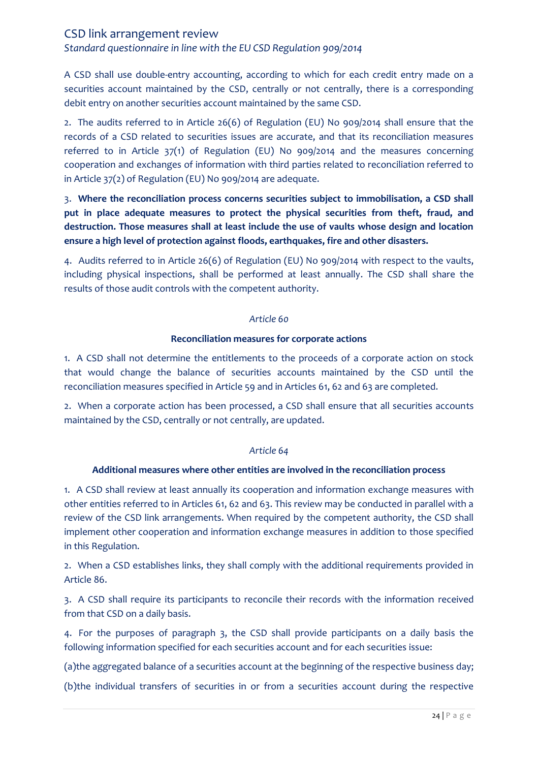*Standard questionnaire in line with the EU CSD Regulation 909/2014*

A CSD shall use double-entry accounting, according to which for each credit entry made on a securities account maintained by the CSD, centrally or not centrally, there is a corresponding debit entry on another securities account maintained by the same CSD.

2. The audits referred to in Article 26(6) of Regulation (EU) No 909/2014 shall ensure that the records of a CSD related to securities issues are accurate, and that its reconciliation measures referred to in Article 37(1) of Regulation (EU) No 909/2014 and the measures concerning cooperation and exchanges of information with third parties related to reconciliation referred to in Article 37(2) of Regulation (EU) No 909/2014 are adequate.

3. **Where the reconciliation process concerns securities subject to immobilisation, a CSD shall put in place adequate measures to protect the physical securities from theft, fraud, and destruction. Those measures shall at least include the use of vaults whose design and location ensure a high level of protection against floods, earthquakes, fire and other disasters.**

4. Audits referred to in Article 26(6) of Regulation (EU) No 909/2014 with respect to the vaults, including physical inspections, shall be performed at least annually. The CSD shall share the results of those audit controls with the competent authority.

#### *Article 60*

#### **Reconciliation measures for corporate actions**

1. A CSD shall not determine the entitlements to the proceeds of a corporate action on stock that would change the balance of securities accounts maintained by the CSD until the reconciliation measures specified in Article 59 and in Articles 61, 62 and 63 are completed.

2. When a corporate action has been processed, a CSD shall ensure that all securities accounts maintained by the CSD, centrally or not centrally, are updated.

#### *Article 64*

#### **Additional measures where other entities are involved in the reconciliation process**

1. A CSD shall review at least annually its cooperation and information exchange measures with other entities referred to in Articles 61, 62 and 63. This review may be conducted in parallel with a review of the CSD link arrangements. When required by the competent authority, the CSD shall implement other cooperation and information exchange measures in addition to those specified in this Regulation.

2. When a CSD establishes links, they shall comply with the additional requirements provided in Article 86.

3. A CSD shall require its participants to reconcile their records with the information received from that CSD on a daily basis.

4. For the purposes of paragraph 3, the CSD shall provide participants on a daily basis the following information specified for each securities account and for each securities issue:

(a)the aggregated balance of a securities account at the beginning of the respective business day;

(b)the individual transfers of securities in or from a securities account during the respective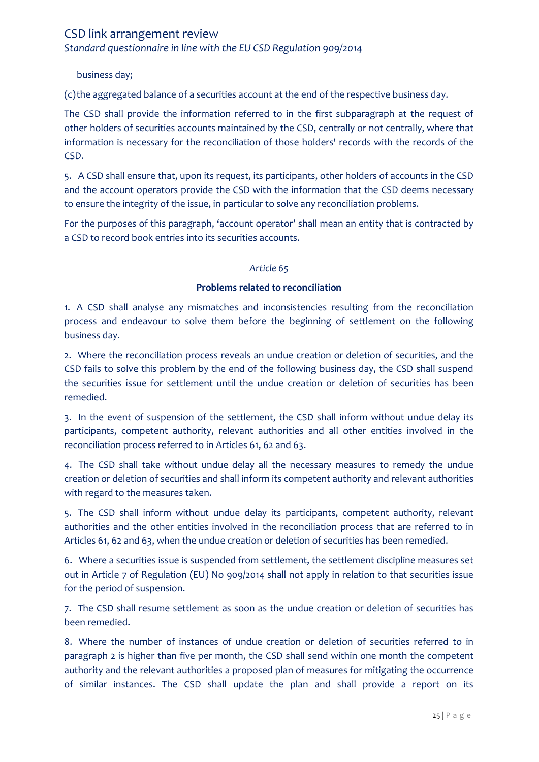*Standard questionnaire in line with the EU CSD Regulation 909/2014*

business day;

(c)the aggregated balance of a securities account at the end of the respective business day.

The CSD shall provide the information referred to in the first subparagraph at the request of other holders of securities accounts maintained by the CSD, centrally or not centrally, where that information is necessary for the reconciliation of those holders' records with the records of the CSD.

5. A CSD shall ensure that, upon its request, its participants, other holders of accounts in the CSD and the account operators provide the CSD with the information that the CSD deems necessary to ensure the integrity of the issue, in particular to solve any reconciliation problems.

For the purposes of this paragraph, 'account operator' shall mean an entity that is contracted by a CSD to record book entries into its securities accounts.

#### *Article 65*

#### **Problems related to reconciliation**

1. A CSD shall analyse any mismatches and inconsistencies resulting from the reconciliation process and endeavour to solve them before the beginning of settlement on the following business day.

2. Where the reconciliation process reveals an undue creation or deletion of securities, and the CSD fails to solve this problem by the end of the following business day, the CSD shall suspend the securities issue for settlement until the undue creation or deletion of securities has been remedied.

3. In the event of suspension of the settlement, the CSD shall inform without undue delay its participants, competent authority, relevant authorities and all other entities involved in the reconciliation process referred to in Articles 61, 62 and 63.

4. The CSD shall take without undue delay all the necessary measures to remedy the undue creation or deletion of securities and shall inform its competent authority and relevant authorities with regard to the measures taken.

5. The CSD shall inform without undue delay its participants, competent authority, relevant authorities and the other entities involved in the reconciliation process that are referred to in Articles 61, 62 and 63, when the undue creation or deletion of securities has been remedied.

6. Where a securities issue is suspended from settlement, the settlement discipline measures set out in Article 7 of Regulation (EU) No 909/2014 shall not apply in relation to that securities issue for the period of suspension.

7. The CSD shall resume settlement as soon as the undue creation or deletion of securities has been remedied.

8. Where the number of instances of undue creation or deletion of securities referred to in paragraph 2 is higher than five per month, the CSD shall send within one month the competent authority and the relevant authorities a proposed plan of measures for mitigating the occurrence of similar instances. The CSD shall update the plan and shall provide a report on its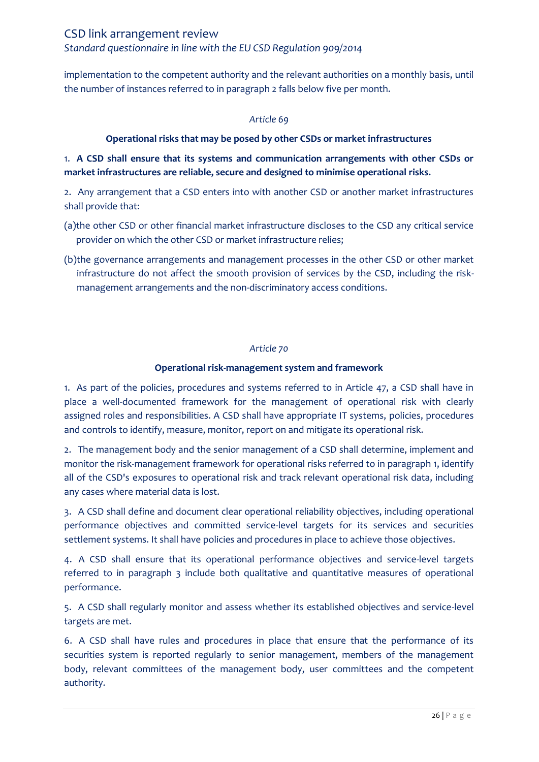implementation to the competent authority and the relevant authorities on a monthly basis, until the number of instances referred to in paragraph 2 falls below five per month.

#### *Article 69*

### **Operational risks that may be posed by other CSDs or market infrastructures**

# 1. **A CSD shall ensure that its systems and communication arrangements with other CSDs or market infrastructures are reliable, secure and designed to minimise operational risks.**

2. Any arrangement that a CSD enters into with another CSD or another market infrastructures shall provide that:

- (a)the other CSD or other financial market infrastructure discloses to the CSD any critical service provider on which the other CSD or market infrastructure relies;
- (b)the governance arrangements and management processes in the other CSD or other market infrastructure do not affect the smooth provision of services by the CSD, including the riskmanagement arrangements and the non-discriminatory access conditions.

#### *Article 70*

#### **Operational risk-management system and framework**

1. As part of the policies, procedures and systems referred to in Article 47, a CSD shall have in place a well-documented framework for the management of operational risk with clearly assigned roles and responsibilities. A CSD shall have appropriate IT systems, policies, procedures and controls to identify, measure, monitor, report on and mitigate its operational risk.

2. The management body and the senior management of a CSD shall determine, implement and monitor the risk-management framework for operational risks referred to in paragraph 1, identify all of the CSD's exposures to operational risk and track relevant operational risk data, including any cases where material data is lost.

3. A CSD shall define and document clear operational reliability objectives, including operational performance objectives and committed service-level targets for its services and securities settlement systems. It shall have policies and procedures in place to achieve those objectives.

4. A CSD shall ensure that its operational performance objectives and service-level targets referred to in paragraph 3 include both qualitative and quantitative measures of operational performance.

5. A CSD shall regularly monitor and assess whether its established objectives and service-level targets are met.

6. A CSD shall have rules and procedures in place that ensure that the performance of its securities system is reported regularly to senior management, members of the management body, relevant committees of the management body, user committees and the competent authority.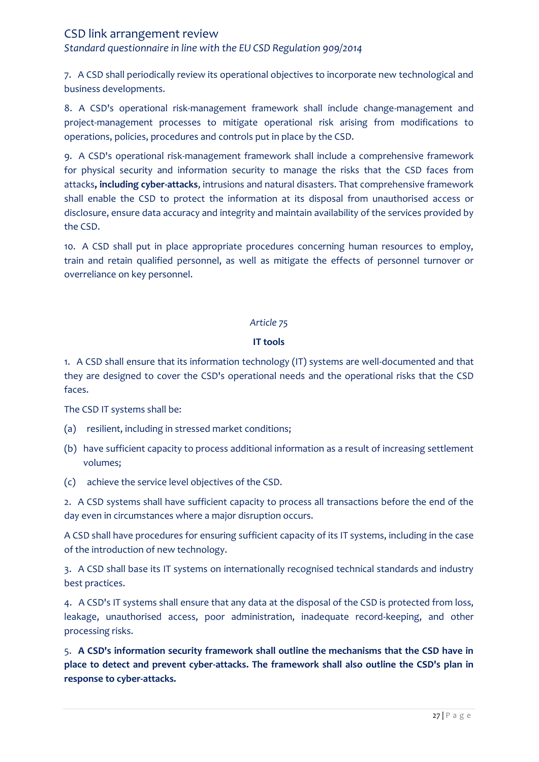*Standard questionnaire in line with the EU CSD Regulation 909/2014*

7. A CSD shall periodically review its operational objectives to incorporate new technological and business developments.

8. A CSD's operational risk-management framework shall include change-management and project-management processes to mitigate operational risk arising from modifications to operations, policies, procedures and controls put in place by the CSD.

9. A CSD's operational risk-management framework shall include a comprehensive framework for physical security and information security to manage the risks that the CSD faces from attacks**, including cyber-attacks**, intrusions and natural disasters. That comprehensive framework shall enable the CSD to protect the information at its disposal from unauthorised access or disclosure, ensure data accuracy and integrity and maintain availability of the services provided by the CSD.

10. A CSD shall put in place appropriate procedures concerning human resources to employ, train and retain qualified personnel, as well as mitigate the effects of personnel turnover or overreliance on key personnel.

#### *Article 75*

### **IT tools**

1. A CSD shall ensure that its information technology (IT) systems are well-documented and that they are designed to cover the CSD's operational needs and the operational risks that the CSD faces.

The CSD IT systems shall be:

- (a) resilient, including in stressed market conditions;
- (b) have sufficient capacity to process additional information as a result of increasing settlement volumes;
- (c) achieve the service level objectives of the CSD.

2. A CSD systems shall have sufficient capacity to process all transactions before the end of the day even in circumstances where a major disruption occurs.

A CSD shall have procedures for ensuring sufficient capacity of its IT systems, including in the case of the introduction of new technology.

3. A CSD shall base its IT systems on internationally recognised technical standards and industry best practices.

4. A CSD's IT systems shall ensure that any data at the disposal of the CSD is protected from loss, leakage, unauthorised access, poor administration, inadequate record-keeping, and other processing risks.

5. **A CSD's information security framework shall outline the mechanisms that the CSD have in place to detect and prevent cyber-attacks. The framework shall also outline the CSD's plan in response to cyber-attacks.**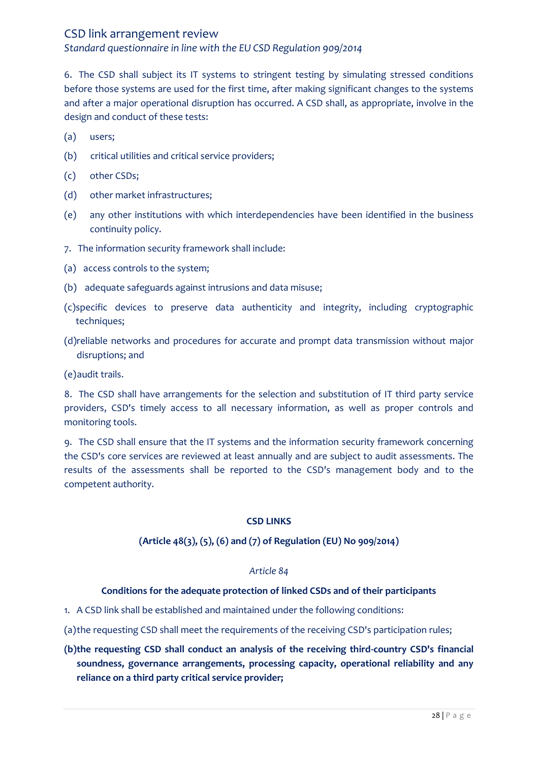*Standard questionnaire in line with the EU CSD Regulation 909/2014*

6. The CSD shall subject its IT systems to stringent testing by simulating stressed conditions before those systems are used for the first time, after making significant changes to the systems and after a major operational disruption has occurred. A CSD shall, as appropriate, involve in the design and conduct of these tests:

- (a) users;
- (b) critical utilities and critical service providers;
- (c) other CSDs;
- (d) other market infrastructures;
- (e) any other institutions with which interdependencies have been identified in the business continuity policy.
- 7. The information security framework shall include:
- (a) access controls to the system;
- (b) adequate safeguards against intrusions and data misuse;
- (c)specific devices to preserve data authenticity and integrity, including cryptographic techniques;
- (d)reliable networks and procedures for accurate and prompt data transmission without major disruptions; and

(e)audit trails.

8. The CSD shall have arrangements for the selection and substitution of IT third party service providers, CSD's timely access to all necessary information, as well as proper controls and monitoring tools.

9. The CSD shall ensure that the IT systems and the information security framework concerning the CSD's core services are reviewed at least annually and are subject to audit assessments. The results of the assessments shall be reported to the CSD's management body and to the competent authority.

#### **CSD LINKS**

#### **(Article 48(3), (5), (6) and (7) of Regulation (EU) No 909/2014)**

#### *Article 84*

#### **Conditions for the adequate protection of linked CSDs and of their participants**

- 1. A CSD link shall be established and maintained under the following conditions:
- (a)the requesting CSD shall meet the requirements of the receiving CSD's participation rules;
- **(b)the requesting CSD shall conduct an analysis of the receiving third-country CSD's financial soundness, governance arrangements, processing capacity, operational reliability and any reliance on a third party critical service provider;**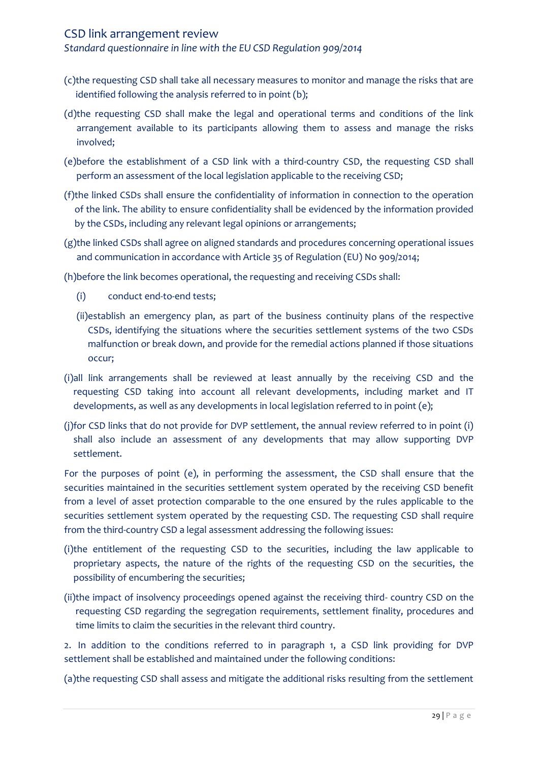*Standard questionnaire in line with the EU CSD Regulation 909/2014*

- (c)the requesting CSD shall take all necessary measures to monitor and manage the risks that are identified following the analysis referred to in point (b);
- (d)the requesting CSD shall make the legal and operational terms and conditions of the link arrangement available to its participants allowing them to assess and manage the risks involved;
- (e)before the establishment of a CSD link with a third-country CSD, the requesting CSD shall perform an assessment of the local legislation applicable to the receiving CSD;
- (f)the linked CSDs shall ensure the confidentiality of information in connection to the operation of the link. The ability to ensure confidentiality shall be evidenced by the information provided by the CSDs, including any relevant legal opinions or arrangements;
- (g)the linked CSDs shall agree on aligned standards and procedures concerning operational issues and communication in accordance with Article 35 of Regulation (EU) No 909/2014;

(h)before the link becomes operational, the requesting and receiving CSDs shall:

- (i) conduct end-to-end tests;
- (ii)establish an emergency plan, as part of the business continuity plans of the respective CSDs, identifying the situations where the securities settlement systems of the two CSDs malfunction or break down, and provide for the remedial actions planned if those situations occur;
- (i)all link arrangements shall be reviewed at least annually by the receiving CSD and the requesting CSD taking into account all relevant developments, including market and IT developments, as well as any developments in local legislation referred to in point (e);
- (j)for CSD links that do not provide for DVP settlement, the annual review referred to in point (i) shall also include an assessment of any developments that may allow supporting DVP settlement.

For the purposes of point (e), in performing the assessment, the CSD shall ensure that the securities maintained in the securities settlement system operated by the receiving CSD benefit from a level of asset protection comparable to the one ensured by the rules applicable to the securities settlement system operated by the requesting CSD. The requesting CSD shall require from the third-country CSD a legal assessment addressing the following issues:

- (i)the entitlement of the requesting CSD to the securities, including the law applicable to proprietary aspects, the nature of the rights of the requesting CSD on the securities, the possibility of encumbering the securities;
- (ii)the impact of insolvency proceedings opened against the receiving third- country CSD on the requesting CSD regarding the segregation requirements, settlement finality, procedures and time limits to claim the securities in the relevant third country.

2. In addition to the conditions referred to in paragraph 1, a CSD link providing for DVP settlement shall be established and maintained under the following conditions:

(a)the requesting CSD shall assess and mitigate the additional risks resulting from the settlement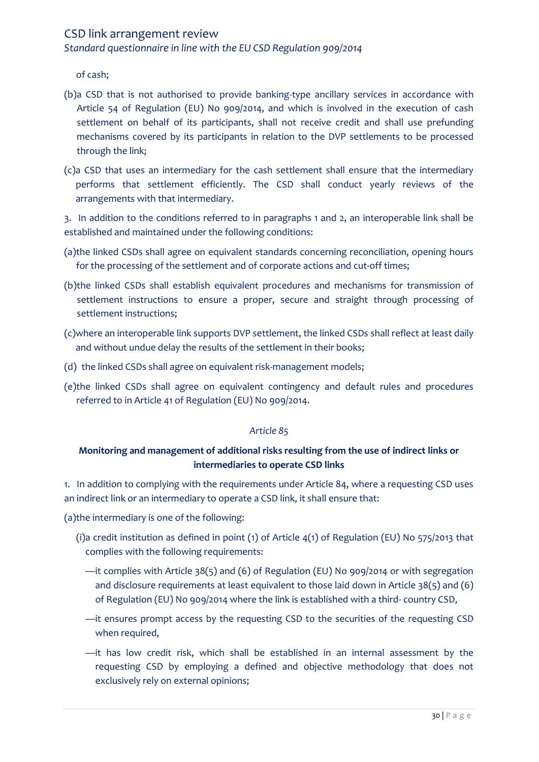*Standard questionnaire in line with the EU CSD Regulation 909/2014*

of cash;

- (b)a CSD that is not authorised to provide banking-type ancillary services in accordance with Article 54 of Regulation (EU) No 909/2014, and which is involved in the execution of cash settlement on behalf of its participants, shall not receive credit and shall use prefunding mechanisms covered by its participants in relation to the DVP settlements to be processed through the link;
- (c)a CSD that uses an intermediary for the cash settlement shall ensure that the intermediary performs that settlement efficiently. The CSD shall conduct yearly reviews of the arrangements with that intermediary.

3. In addition to the conditions referred to in paragraphs 1 and 2, an interoperable link shall be established and maintained under the following conditions:

- (a)the linked CSDs shall agree on equivalent standards concerning reconciliation, opening hours for the processing of the settlement and of corporate actions and cut-off times;
- (b)the linked CSDs shall establish equivalent procedures and mechanisms for transmission of settlement instructions to ensure a proper, secure and straight through processing of settlement instructions;
- (c)where an interoperable link supports DVP settlement, the linked CSDs shall reflect at least daily and without undue delay the results of the settlement in their books;
- (d) the linked CSDs shall agree on equivalent risk-management models;
- (e)the linked CSDs shall agree on equivalent contingency and default rules and procedures referred to in Article 41 of Regulation (EU) No 909/2014.

#### *Article 85*

# **Monitoring and management of additional risks resulting from the use of indirect links or intermediaries to operate CSD links**

1. In addition to complying with the requirements under Article 84, where a requesting CSD uses an indirect link or an intermediary to operate a CSD link, it shall ensure that:

(a)the intermediary is one of the following:

- (i)a credit institution as defined in point (1) of Article 4(1) of Regulation (EU) No 575/2013 that complies with the following requirements:
	- —it complies with Article 38(5) and (6) of Regulation (EU) No 909/2014 or with segregation and disclosure requirements at least equivalent to those laid down in Article 38(5) and (6) of Regulation (EU) No 909/2014 where the link is established with a third- country CSD,
	- —it ensures prompt access by the requesting CSD to the securities of the requesting CSD when required,
	- —it has low credit risk, which shall be established in an internal assessment by the requesting CSD by employing a defined and objective methodology that does not exclusively rely on external opinions;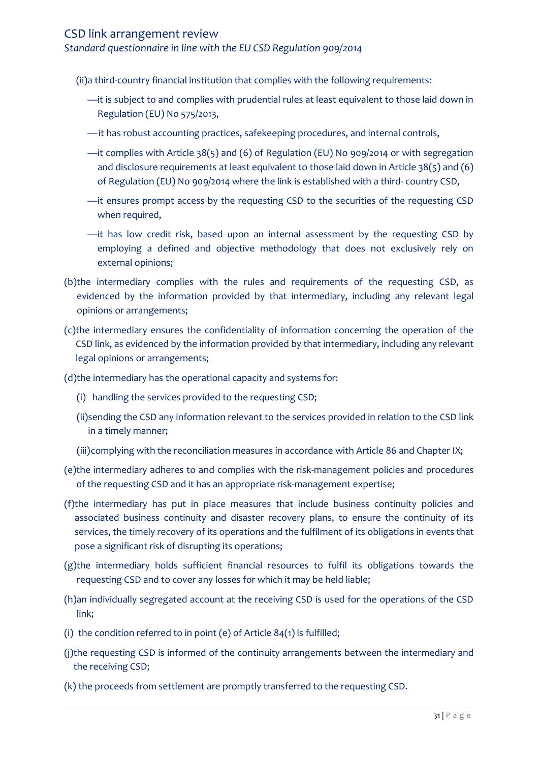*Standard questionnaire in line with the EU CSD Regulation 909/2014*

(ii)a third-country financial institution that complies with the following requirements:

- —it is subject to and complies with prudential rules at least equivalent to those laid down in Regulation (EU) No 575/2013,
- —it has robust accounting practices, safekeeping procedures, and internal controls,
- —it complies with Article 38(5) and (6) of Regulation (EU) No 909/2014 or with segregation and disclosure requirements at least equivalent to those laid down in Article 38(5) and (6) of Regulation (EU) No 909/2014 where the link is established with a third- country CSD,
- —it ensures prompt access by the requesting CSD to the securities of the requesting CSD when required,
- —it has low credit risk, based upon an internal assessment by the requesting CSD by employing a defined and objective methodology that does not exclusively rely on external opinions;
- (b)the intermediary complies with the rules and requirements of the requesting CSD, as evidenced by the information provided by that intermediary, including any relevant legal opinions or arrangements;
- (c)the intermediary ensures the confidentiality of information concerning the operation of the CSD link, as evidenced by the information provided by that intermediary, including any relevant legal opinions or arrangements;
- (d)the intermediary has the operational capacity and systems for:
	- (i) handling the services provided to the requesting CSD;
	- (ii)sending the CSD any information relevant to the services provided in relation to the CSD link in a timely manner;
	- (iii)complying with the reconciliation measures in accordance with Article 86 and Chapter IX;
- (e)the intermediary adheres to and complies with the risk-management policies and procedures of the requesting CSD and it has an appropriate risk-management expertise;
- (f)the intermediary has put in place measures that include business continuity policies and associated business continuity and disaster recovery plans, to ensure the continuity of its services, the timely recovery of its operations and the fulfilment of its obligations in events that pose a significant risk of disrupting its operations;
- (g)the intermediary holds sufficient financial resources to fulfil its obligations towards the requesting CSD and to cover any losses for which it may be held liable;
- (h)an individually segregated account at the receiving CSD is used for the operations of the CSD link;
- (i) the condition referred to in point (e) of Article  $84(1)$  is fulfilled;
- (j)the requesting CSD is informed of the continuity arrangements between the intermediary and the receiving CSD;
- (k) the proceeds from settlement are promptly transferred to the requesting CSD.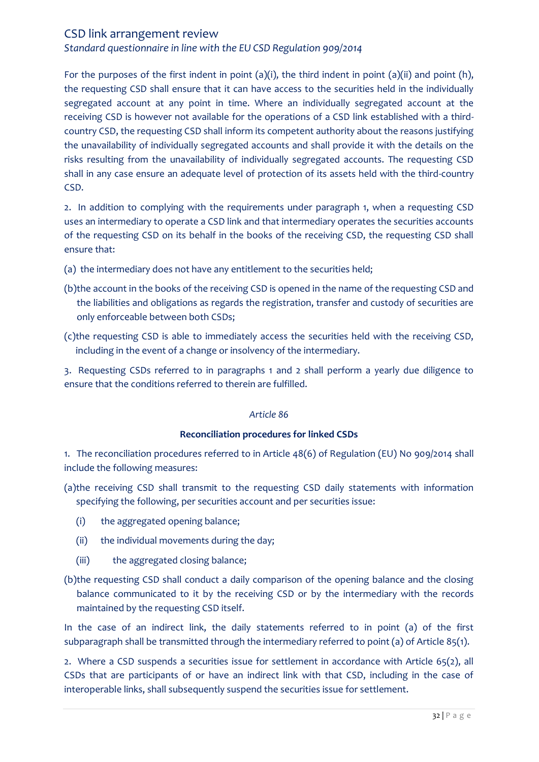*Standard questionnaire in line with the EU CSD Regulation 909/2014*

For the purposes of the first indent in point (a)(i), the third indent in point (a)(ii) and point (h), the requesting CSD shall ensure that it can have access to the securities held in the individually segregated account at any point in time. Where an individually segregated account at the receiving CSD is however not available for the operations of a CSD link established with a thirdcountry CSD, the requesting CSD shall inform its competent authority about the reasons justifying the unavailability of individually segregated accounts and shall provide it with the details on the risks resulting from the unavailability of individually segregated accounts. The requesting CSD shall in any case ensure an adequate level of protection of its assets held with the third-country CSD.

2. In addition to complying with the requirements under paragraph 1, when a requesting CSD uses an intermediary to operate a CSD link and that intermediary operates the securities accounts of the requesting CSD on its behalf in the books of the receiving CSD, the requesting CSD shall ensure that:

- (a) the intermediary does not have any entitlement to the securities held;
- (b)the account in the books of the receiving CSD is opened in the name of the requesting CSD and the liabilities and obligations as regards the registration, transfer and custody of securities are only enforceable between both CSDs;
- (c)the requesting CSD is able to immediately access the securities held with the receiving CSD, including in the event of a change or insolvency of the intermediary.

3. Requesting CSDs referred to in paragraphs 1 and 2 shall perform a yearly due diligence to ensure that the conditions referred to therein are fulfilled.

#### *Article 86*

#### **Reconciliation procedures for linked CSDs**

1. The reconciliation procedures referred to in Article 48(6) of Regulation (EU) No 909/2014 shall include the following measures:

- (a)the receiving CSD shall transmit to the requesting CSD daily statements with information specifying the following, per securities account and per securities issue:
	- (i) the aggregated opening balance;
	- (ii) the individual movements during the day;
	- (iii) the aggregated closing balance;
- (b)the requesting CSD shall conduct a daily comparison of the opening balance and the closing balance communicated to it by the receiving CSD or by the intermediary with the records maintained by the requesting CSD itself.

In the case of an indirect link, the daily statements referred to in point (a) of the first subparagraph shall be transmitted through the intermediary referred to point (a) of Article 85(1).

2. Where a CSD suspends a securities issue for settlement in accordance with Article 65(2), all CSDs that are participants of or have an indirect link with that CSD, including in the case of interoperable links, shall subsequently suspend the securities issue for settlement.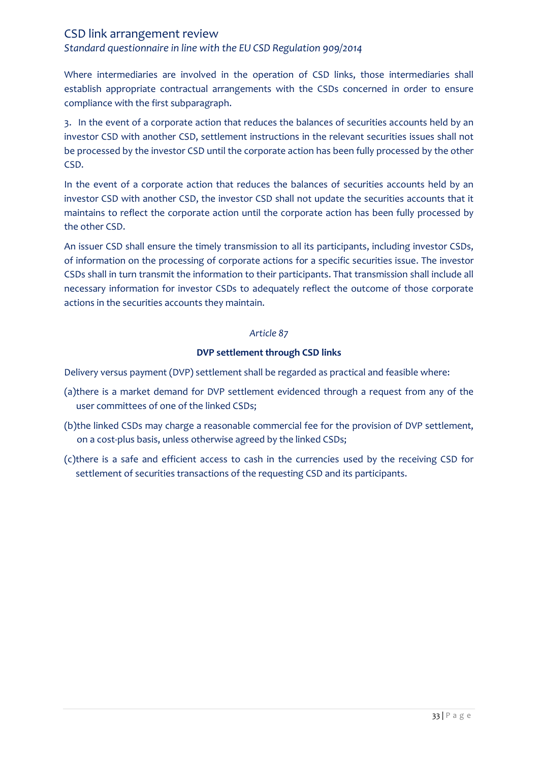*Standard questionnaire in line with the EU CSD Regulation 909/2014*

Where intermediaries are involved in the operation of CSD links, those intermediaries shall establish appropriate contractual arrangements with the CSDs concerned in order to ensure compliance with the first subparagraph.

3. In the event of a corporate action that reduces the balances of securities accounts held by an investor CSD with another CSD, settlement instructions in the relevant securities issues shall not be processed by the investor CSD until the corporate action has been fully processed by the other CSD.

In the event of a corporate action that reduces the balances of securities accounts held by an investor CSD with another CSD, the investor CSD shall not update the securities accounts that it maintains to reflect the corporate action until the corporate action has been fully processed by the other CSD.

An issuer CSD shall ensure the timely transmission to all its participants, including investor CSDs, of information on the processing of corporate actions for a specific securities issue. The investor CSDs shall in turn transmit the information to their participants. That transmission shall include all necessary information for investor CSDs to adequately reflect the outcome of those corporate actions in the securities accounts they maintain.

#### *Article 87*

#### **DVP settlement through CSD links**

Delivery versus payment (DVP) settlement shall be regarded as practical and feasible where:

- (a)there is a market demand for DVP settlement evidenced through a request from any of the user committees of one of the linked CSDs;
- (b)the linked CSDs may charge a reasonable commercial fee for the provision of DVP settlement, on a cost-plus basis, unless otherwise agreed by the linked CSDs;
- (c)there is a safe and efficient access to cash in the currencies used by the receiving CSD for settlement of securities transactions of the requesting CSD and its participants.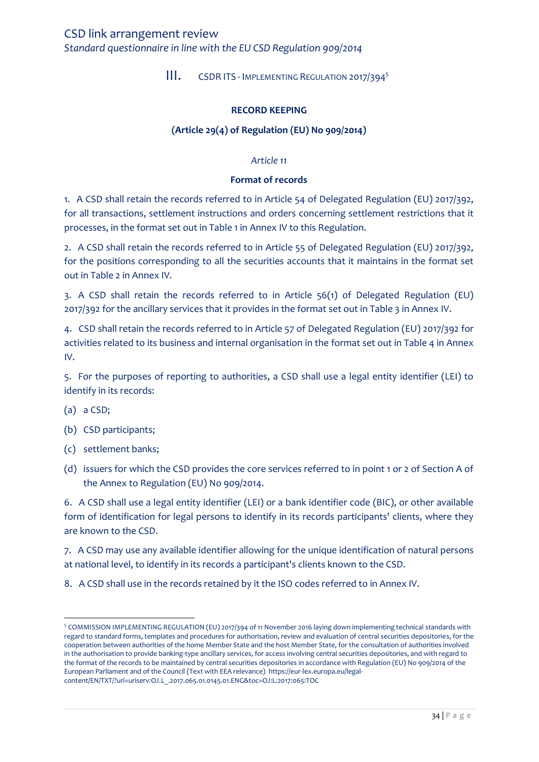<span id="page-33-0"></span>*Standard questionnaire in line with the EU CSD Regulation 909/2014*

III. CSDR ITS - IMPLEMENTING REGULATION 2017/394<sup>5</sup>

#### **RECORD KEEPING**

### **(Article 29(4) of Regulation (EU) No 909/2014)**

#### *Article 11*

#### **Format of records**

1. A CSD shall retain the records referred to in Article 54 of Delegated Regulation (EU) 2017/392, for all transactions, settlement instructions and orders concerning settlement restrictions that it processes, in the format set out in Table 1 in Annex IV to this Regulation.

2. A CSD shall retain the records referred to in Article 55 of Delegated Regulation (EU) 2017/392, for the positions corresponding to all the securities accounts that it maintains in the format set out in Table 2 in Annex IV.

3. A CSD shall retain the records referred to in Article 56(1) of Delegated Regulation (EU) 2017/392 for the ancillary services that it provides in the format set out in Table 3 in Annex IV.

4. CSD shall retain the records referred to in Article 57 of Delegated Regulation (EU) 2017/392 for activities related to its business and internal organisation in the format set out in Table 4 in Annex IV.

5. For the purposes of reporting to authorities, a CSD shall use a legal entity identifier (LEI) to identify in its records:

- (a) a CSD;
- (b) CSD participants;
- (c) settlement banks;
- (d) issuers for which the CSD provides the core services referred to in point 1 or 2 of Section A of the Annex to Regulation (EU) No 909/2014.

6. A CSD shall use a legal entity identifier (LEI) or a bank identifier code (BIC), or other available form of identification for legal persons to identify in its records participants' clients, where they are known to the CSD.

7. A CSD may use any available identifier allowing for the unique identification of natural persons at national level, to identify in its records a participant's clients known to the CSD.

8. A CSD shall use in the records retained by it the ISO codes referred to in Annex IV.

 $\overline{\phantom{a}}$ <sup>5</sup> COMMISSION IMPLEMENTING REGULATION (EU) 2017/394 of 11 November 2016 laying down implementing technical standards with regard to standard forms, templates and procedures for authorisation, review and evaluation of central securities depositories, for the cooperation between authorities of the home Member State and the host Member State, for the consultation of authorities involved in the authorisation to provide banking-type ancillary services, for access involving central securities depositories, and with regard to the format of the records to be maintained by central securities depositories in accordance with Regulation (EU) No 909/2014 of the European Parliament and of the Council (Text with EEA relevance) https://eur-lex.europa.eu/legalcontent/EN/TXT/?uri=uriserv:OJ.L\_.2017.065.01.0145.01.ENG&toc=OJ:L:2017:065:TOC